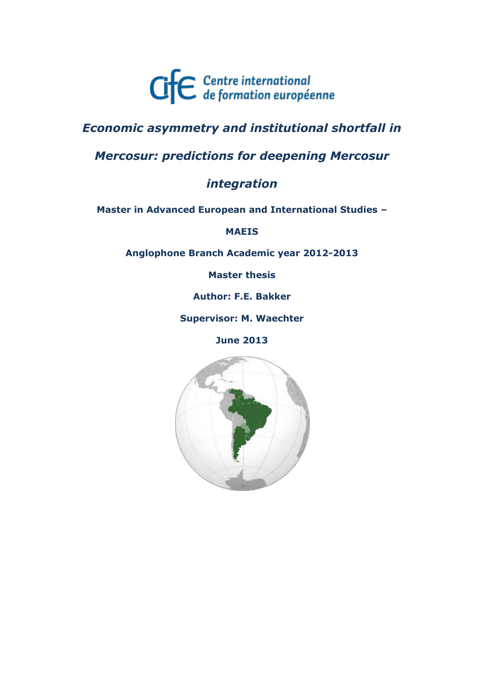

## *Economic asymmetry and institutional shortfall in*

*Mercosur: predictions for deepening Mercosur* 

## *integration*

**Master in Advanced European and International Studies –**

### **MAEIS**

**Anglophone Branch Academic year 2012-2013**

**Master thesis**

**Author: F.E. Bakker**

**Supervisor: M. Waechter**

**June 2013**

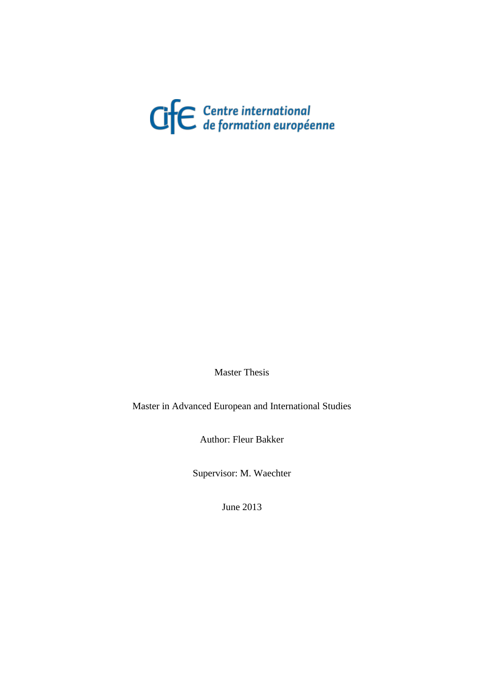

Master Thesis

Master in Advanced European and International Studies

Author: Fleur Bakker

Supervisor: M. Waechter

June 2013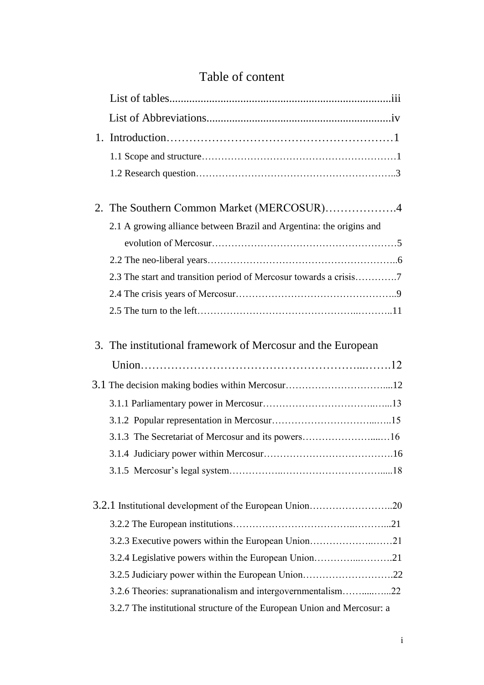## Table of content

| 2.1 A growing alliance between Brazil and Argentina: the origins and    |  |
|-------------------------------------------------------------------------|--|
|                                                                         |  |
|                                                                         |  |
| 2.3 The start and transition period of Mercosur towards a crisis7       |  |
|                                                                         |  |
|                                                                         |  |
| 3. The institutional framework of Mercosur and the European             |  |
|                                                                         |  |
| 3.1 The decision making bodies within Mercosur12                        |  |
|                                                                         |  |
|                                                                         |  |
|                                                                         |  |
|                                                                         |  |
|                                                                         |  |
|                                                                         |  |
| 3.2.1 Institutional development of the European Union20                 |  |
|                                                                         |  |
|                                                                         |  |
| 3.2.4 Legislative powers within the European Union21                    |  |
| 3.2.5 Judiciary power within the European Union22                       |  |
| 3.2.6 Theories: supranationalism and intergovernmentalism22             |  |
| 3.2.7 The institutional structure of the European Union and Mercosur: a |  |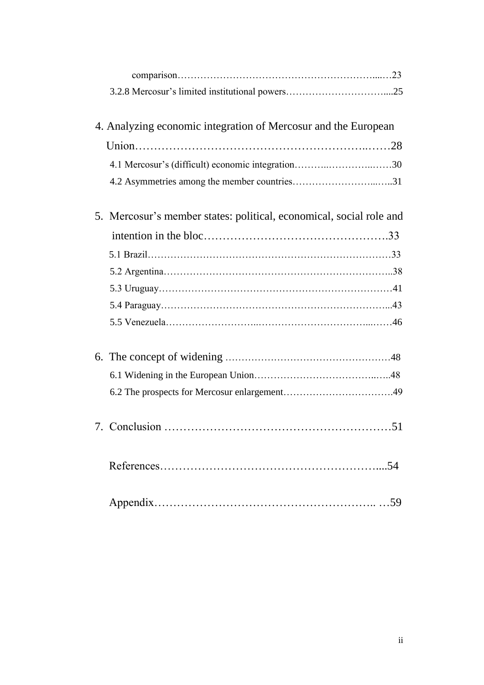| 4. Analyzing economic integration of Mercosur and the European      |  |
|---------------------------------------------------------------------|--|
|                                                                     |  |
|                                                                     |  |
| 4.1 Mercosur's (difficult) economic integration30                   |  |
| 4.2 Asymmetries among the member countries31                        |  |
| 5. Mercosur's member states: political, economical, social role and |  |
|                                                                     |  |
|                                                                     |  |
|                                                                     |  |
|                                                                     |  |
|                                                                     |  |
|                                                                     |  |
|                                                                     |  |
|                                                                     |  |
|                                                                     |  |
|                                                                     |  |
|                                                                     |  |
|                                                                     |  |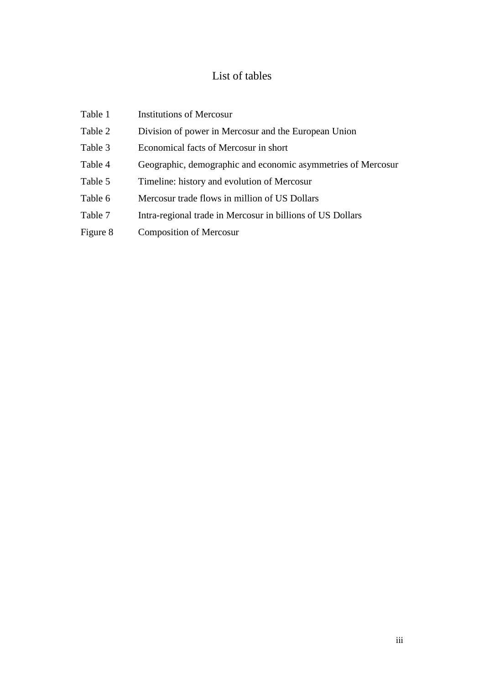## List of tables

| Table 1  | <b>Institutions of Mercosur</b>                              |
|----------|--------------------------------------------------------------|
| Table 2  | Division of power in Mercosur and the European Union         |
| Table 3  | Economical facts of Mercosur in short                        |
| Table 4  | Geographic, demographic and economic asymmetries of Mercosur |
| Table 5  | Timeline: history and evolution of Mercosur                  |
| Table 6  | Mercosur trade flows in million of US Dollars                |
| Table 7  | Intra-regional trade in Mercosur in billions of US Dollars   |
| Figure 8 | <b>Composition of Mercosur</b>                               |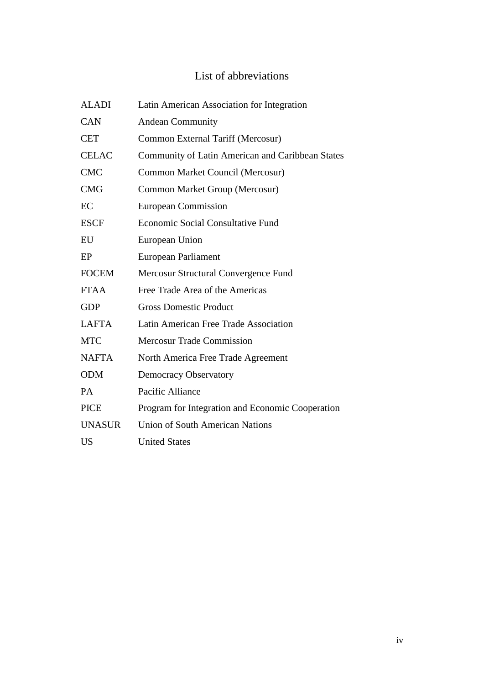## List of abbreviations

| <b>ALADI</b>  | Latin American Association for Integration       |
|---------------|--------------------------------------------------|
| <b>CAN</b>    | <b>Andean Community</b>                          |
| <b>CET</b>    | Common External Tariff (Mercosur)                |
| <b>CELAC</b>  | Community of Latin American and Caribbean States |
| <b>CMC</b>    | Common Market Council (Mercosur)                 |
| <b>CMG</b>    | Common Market Group (Mercosur)                   |
| EC            | <b>European Commission</b>                       |
| <b>ESCF</b>   | <b>Economic Social Consultative Fund</b>         |
| EU            | European Union                                   |
| EP            | European Parliament                              |
| <b>FOCEM</b>  | Mercosur Structural Convergence Fund             |
| <b>FTAA</b>   | Free Trade Area of the Americas                  |
| <b>GDP</b>    | <b>Gross Domestic Product</b>                    |
| <b>LAFTA</b>  | Latin American Free Trade Association            |
| <b>MTC</b>    | <b>Mercosur Trade Commission</b>                 |
| <b>NAFTA</b>  | North America Free Trade Agreement               |
| <b>ODM</b>    | <b>Democracy Observatory</b>                     |
| PA            | Pacific Alliance                                 |
| <b>PICE</b>   | Program for Integration and Economic Cooperation |
| <b>UNASUR</b> | <b>Union of South American Nations</b>           |
| <b>US</b>     | <b>United States</b>                             |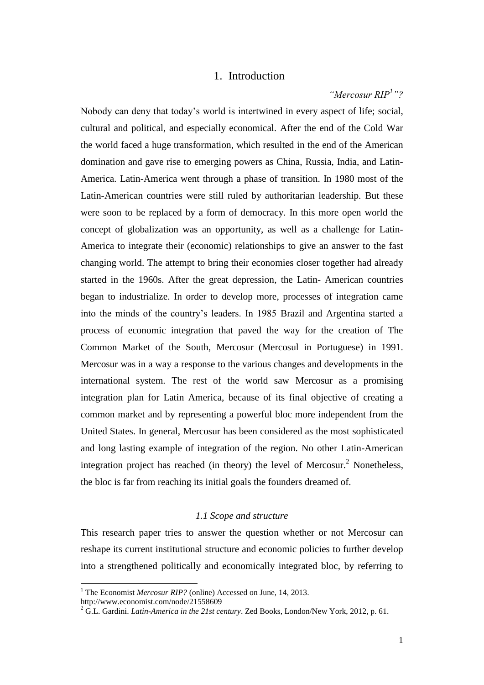#### 1. Introduction

#### *"Mercosur RIP<sup>1</sup> "?*

Nobody can deny that today's world is intertwined in every aspect of life; social, cultural and political, and especially economical. After the end of the Cold War the world faced a huge transformation, which resulted in the end of the American domination and gave rise to emerging powers as China, Russia, India, and Latin-America. Latin-America went through a phase of transition. In 1980 most of the Latin-American countries were still ruled by authoritarian leadership. But these were soon to be replaced by a form of democracy. In this more open world the concept of globalization was an opportunity, as well as a challenge for Latin-America to integrate their (economic) relationships to give an answer to the fast changing world. The attempt to bring their economies closer together had already started in the 1960s. After the great depression, the Latin- American countries began to industrialize. In order to develop more, processes of integration came into the minds of the country's leaders. In 1985 Brazil and Argentina started a process of economic integration that paved the way for the creation of The Common Market of the South, Mercosur (Mercosul in Portuguese) in 1991. Mercosur was in a way a response to the various changes and developments in the international system. The rest of the world saw Mercosur as a promising integration plan for Latin America, because of its final objective of creating a common market and by representing a powerful bloc more independent from the United States. In general, Mercosur has been considered as the most sophisticated and long lasting example of integration of the region. No other Latin-American integration project has reached (in theory) the level of Mercosur.<sup>2</sup> Nonetheless, the bloc is far from reaching its initial goals the founders dreamed of.

#### *1.1 Scope and structure*

This research paper tries to answer the question whether or not Mercosur can reshape its current institutional structure and economic policies to further develop into a strengthened politically and economically integrated bloc, by referring to

<sup>&</sup>lt;sup>1</sup> The Economist *Mercosur RIP?* (online) Accessed on June, 14, 2013.

<http://www.economist.com/node/21558609>

<sup>2</sup> G.L. Gardini. *Latin-America in the 21st century*. Zed Books, London/New York, 2012, p. 61.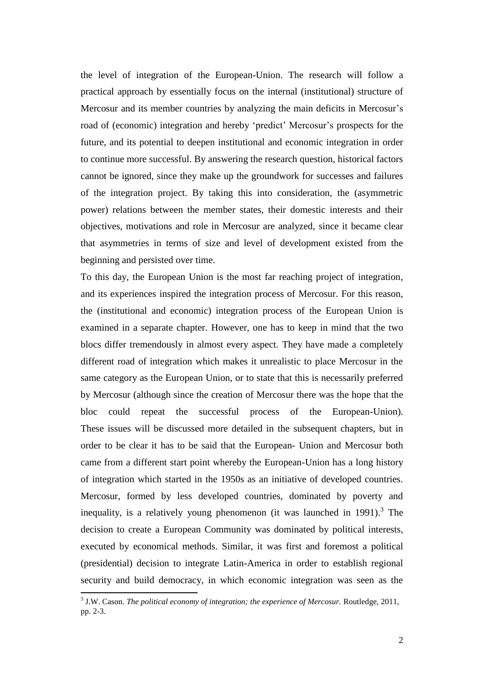the level of integration of the European-Union. The research will follow a practical approach by essentially focus on the internal (institutional) structure of Mercosur and its member countries by analyzing the main deficits in Mercosur's road of (economic) integration and hereby 'predict' Mercosur's prospects for the future, and its potential to deepen institutional and economic integration in order to continue more successful. By answering the research question, historical factors cannot be ignored, since they make up the groundwork for successes and failures of the integration project. By taking this into consideration, the (asymmetric power) relations between the member states, their domestic interests and their objectives, motivations and role in Mercosur are analyzed, since it became clear that asymmetries in terms of size and level of development existed from the beginning and persisted over time.

To this day, the European Union is the most far reaching project of integration, and its experiences inspired the integration process of Mercosur. For this reason, the (institutional and economic) integration process of the European Union is examined in a separate chapter. However, one has to keep in mind that the two blocs differ tremendously in almost every aspect. They have made a completely different road of integration which makes it unrealistic to place Mercosur in the same category as the European Union, or to state that this is necessarily preferred by Mercosur (although since the creation of Mercosur there was the hope that the bloc could repeat the successful process of the European-Union). These issues will be discussed more detailed in the subsequent chapters, but in order to be clear it has to be said that the European- Union and Mercosur both came from a different start point whereby the European-Union has a long history of integration which started in the 1950s as an initiative of developed countries. Mercosur, formed by less developed countries, dominated by poverty and inequality, is a relatively young phenomenon (it was launched in 1991).<sup>3</sup> The decision to create a European Community was dominated by political interests, executed by economical methods. Similar, it was first and foremost a political (presidential) decision to integrate Latin-America in order to establish regional security and build democracy, in which economic integration was seen as the

<sup>&</sup>lt;sup>3</sup> J.W. Cason. *The political economy of integration; the experience of Mercosur.* Routledge, 2011, pp. 2-3.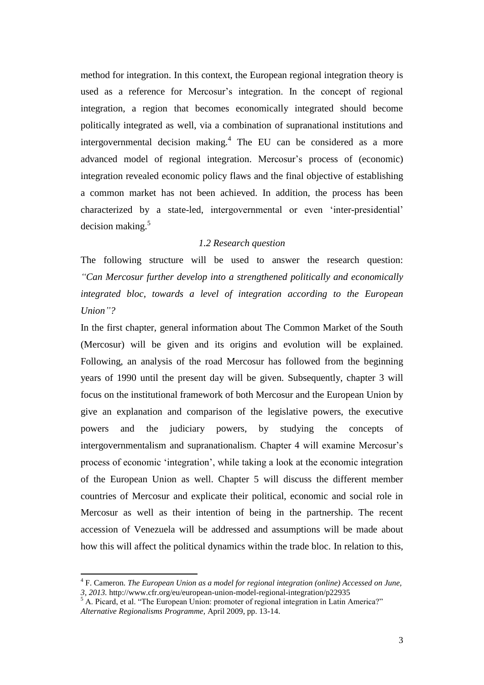method for integration. In this context, the European regional integration theory is used as a reference for Mercosur's integration. In the concept of regional integration, a region that becomes economically integrated should become politically integrated as well, via a combination of supranational institutions and intergovernmental decision making.<sup>4</sup> The EU can be considered as a more advanced model of regional integration. Mercosur's process of (economic) integration revealed economic policy flaws and the final objective of establishing a common market has not been achieved. In addition, the process has been characterized by a state-led, intergovernmental or even 'inter-presidential' decision making. 5

#### *1.2 Research question*

The following structure will be used to answer the research question: *"Can Mercosur further develop into a strengthened politically and economically integrated bloc, towards a level of integration according to the European Union"?* 

In the first chapter, general information about The Common Market of the South (Mercosur) will be given and its origins and evolution will be explained. Following, an analysis of the road Mercosur has followed from the beginning years of 1990 until the present day will be given. Subsequently, chapter 3 will focus on the institutional framework of both Mercosur and the European Union by give an explanation and comparison of the legislative powers, the executive powers and the judiciary powers, by studying the concepts of intergovernmentalism and supranationalism. Chapter 4 will examine Mercosur's process of economic 'integration', while taking a look at the economic integration of the European Union as well. Chapter 5 will discuss the different member countries of Mercosur and explicate their political, economic and social role in Mercosur as well as their intention of being in the partnership. The recent accession of Venezuela will be addressed and assumptions will be made about how this will affect the political dynamics within the trade bloc. In relation to this,

<sup>&</sup>lt;sup>4</sup> F. Cameron. *The European Union as a model for regional integration (online) Accessed on June, 3, 2013.* <http://www.cfr.org/eu/european-union-model-regional-integration/p22935>

<sup>&</sup>lt;sup>5</sup> A. Picard, et al. "The European Union: promoter of regional integration in Latin America?" *Alternative Regionalisms Programme,* April 2009, pp. 13-14.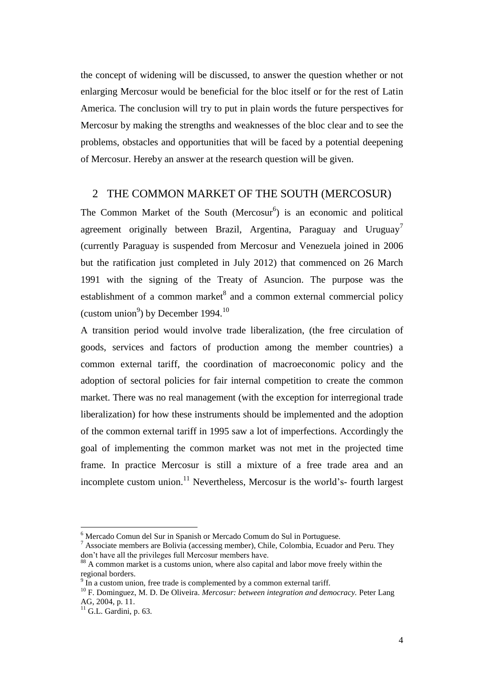the concept of widening will be discussed, to answer the question whether or not enlarging Mercosur would be beneficial for the bloc itself or for the rest of Latin America. The conclusion will try to put in plain words the future perspectives for Mercosur by making the strengths and weaknesses of the bloc clear and to see the problems, obstacles and opportunities that will be faced by a potential deepening of Mercosur. Hereby an answer at the research question will be given.

#### 2 THE COMMON MARKET OF THE SOUTH (MERCOSUR)

The Common Market of the South (Mercosur<sup>6</sup>) is an economic and political agreement originally between Brazil, Argentina, Paraguay and Uruguay<sup>7</sup> (currently Paraguay is suspended from Mercosur and Venezuela joined in 2006 but the ratification just completed in July 2012) that commenced on 26 March 1991 with the signing of the Treaty of Asuncion. The purpose was the establishment of a common market<sup>8</sup> and a common external commercial policy (custom union<sup>9</sup>) by December 1994.<sup>10</sup>

A transition period would involve trade liberalization, (the free circulation of goods, services and factors of production among the member countries) a common external tariff, the coordination of macroeconomic policy and the adoption of sectoral policies for fair internal competition to create the common market. There was no real management (with the exception for interregional trade liberalization) for how these instruments should be implemented and the adoption of the common external tariff in 1995 saw a lot of imperfections. Accordingly the goal of implementing the common market was not met in the projected time frame. In practice Mercosur is still a mixture of a free trade area and an incomplete custom union.<sup>11</sup> Nevertheless, Mercosur is the world's-fourth largest

<sup>6</sup> Mercado Comun del Sur in Spanish or Mercado Comum do Sul in Portuguese.

 $<sup>7</sup>$  Associate members are Bolivia (accessing member), Chile, Colombia, Ecuador and Peru. They</sup> don't have all the privileges full Mercosur members have.

<sup>&</sup>lt;sup>88</sup> A common market is a customs union, where also capital and labor move freely within the regional borders.

 $9 \text{ In a custom union, free trade is complemented by a common external tariff.}$ 

<sup>&</sup>lt;sup>10</sup> F. Dominguez, M. D. De Oliveira. *Mercosur: between integration and democracy*. Peter Lang AG, 2004, p. 11.

 $11$  G.L. Gardini, p. 63.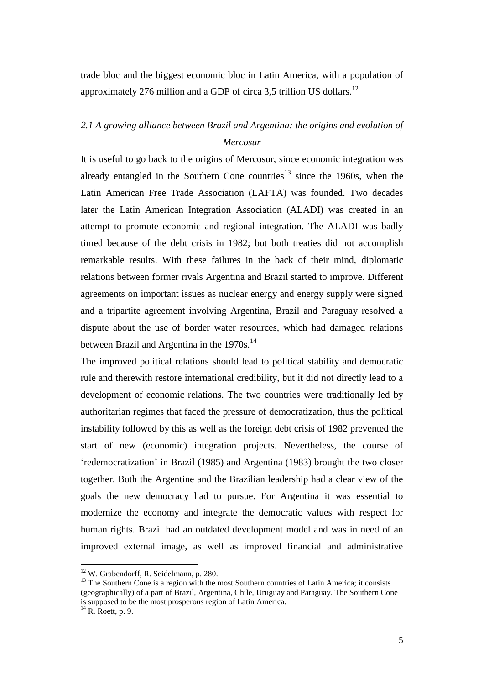trade bloc and the biggest economic bloc in Latin America, with a population of approximately 276 million and a GDP of circa 3,5 trillion US dollars.<sup>12</sup>

### *2.1 A growing alliance between Brazil and Argentina: the origins and evolution of Mercosur*

It is useful to go back to the origins of Mercosur, since economic integration was already entangled in the Southern Cone countries<sup>13</sup> since the 1960s, when the Latin American Free Trade Association (LAFTA) was founded. Two decades later the Latin American Integration Association (ALADI) was created in an attempt to promote economic and regional integration. The ALADI was badly timed because of the debt crisis in 1982; but both treaties did not accomplish remarkable results. With these failures in the back of their mind, diplomatic relations between former rivals Argentina and Brazil started to improve. Different agreements on important issues as nuclear energy and energy supply were signed and a tripartite agreement involving Argentina, Brazil and Paraguay resolved a dispute about the use of border water resources, which had damaged relations between Brazil and Argentina in the 1970s.<sup>14</sup>

The improved political relations should lead to political stability and democratic rule and therewith restore international credibility, but it did not directly lead to a development of economic relations. The two countries were traditionally led by authoritarian regimes that faced the pressure of democratization, thus the political instability followed by this as well as the foreign debt crisis of 1982 prevented the start of new (economic) integration projects. Nevertheless, the course of 'redemocratization' in Brazil (1985) and Argentina (1983) brought the two closer together. Both the Argentine and the Brazilian leadership had a clear view of the goals the new democracy had to pursue. For Argentina it was essential to modernize the economy and integrate the democratic values with respect for human rights. Brazil had an outdated development model and was in need of an improved external image, as well as improved financial and administrative

<sup>&</sup>lt;sup>12</sup> W. Grabendorff, R. Seidelmann, p. 280.

<sup>&</sup>lt;sup>13</sup> The Southern Cone is a region with the most Southern countries of Latin America; it consists (geographically) of a part of Brazil, Argentina, Chile, Uruguay and Paraguay. The Southern Cone is supposed to be the most prosperous region of Latin America.

 $14$  R. Roett, p. 9.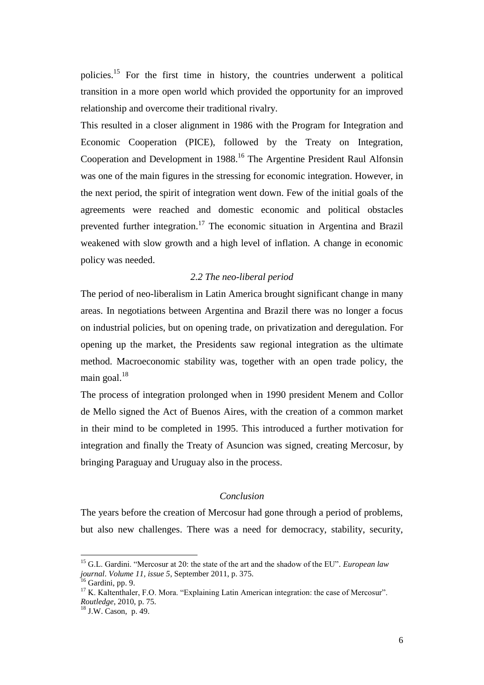policies.<sup>15</sup> For the first time in history, the countries underwent a political transition in a more open world which provided the opportunity for an improved relationship and overcome their traditional rivalry.

This resulted in a closer alignment in 1986 with the Program for Integration and Economic Cooperation (PICE), followed by the Treaty on Integration, Cooperation and Development in 1988.<sup>16</sup> The Argentine President Raul Alfonsin was one of the main figures in the stressing for economic integration. However, in the next period, the spirit of integration went down. Few of the initial goals of the agreements were reached and domestic economic and political obstacles prevented further integration.<sup>17</sup> The economic situation in Argentina and Brazil weakened with slow growth and a high level of inflation. A change in economic policy was needed.

#### *2.2 The neo-liberal period*

The period of neo-liberalism in Latin America brought significant change in many areas. In negotiations between Argentina and Brazil there was no longer a focus on industrial policies, but on opening trade, on privatization and deregulation. For opening up the market, the Presidents saw regional integration as the ultimate method. Macroeconomic stability was, together with an open trade policy, the main goal.<sup>18</sup>

The process of integration prolonged when in 1990 president Menem and Collor de Mello signed the Act of Buenos Aires, with the creation of a common market in their mind to be completed in 1995. This introduced a further motivation for integration and finally the Treaty of Asuncion was signed, creating Mercosur, by bringing Paraguay and Uruguay also in the process.

#### *Conclusion*

The years before the creation of Mercosur had gone through a period of problems, but also new challenges. There was a need for democracy, stability, security,

<sup>15</sup> G.L. Gardini. "Mercosur at 20: the state of the art and the shadow of the EU"*. European law journal*. *Volume 11, issue 5*, September 2011, p. 375.

 $16$  Gardini, pp. 9.

<sup>&</sup>lt;sup>17</sup> K. Kaltenthaler, F.O. Mora. "Explaining Latin American integration: the case of Mercosur". *Routledge*, 2010, p. 75.

 $18$  J.W. Cason, p. 49.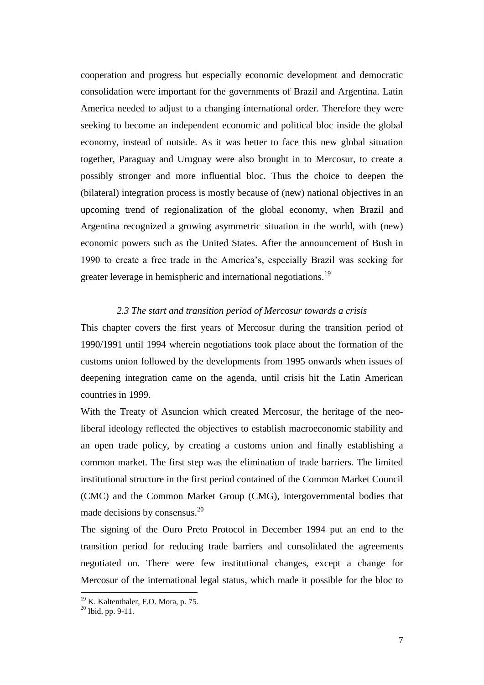cooperation and progress but especially economic development and democratic consolidation were important for the governments of Brazil and Argentina. Latin America needed to adjust to a changing international order. Therefore they were seeking to become an independent economic and political bloc inside the global economy, instead of outside. As it was better to face this new global situation together, Paraguay and Uruguay were also brought in to Mercosur, to create a possibly stronger and more influential bloc. Thus the choice to deepen the (bilateral) integration process is mostly because of (new) national objectives in an upcoming trend of regionalization of the global economy, when Brazil and Argentina recognized a growing asymmetric situation in the world, with (new) economic powers such as the United States. After the announcement of Bush in 1990 to create a free trade in the America's, especially Brazil was seeking for greater leverage in hemispheric and international negotiations.<sup>19</sup>

#### *2.3 The start and transition period of Mercosur towards a crisis*

This chapter covers the first years of Mercosur during the transition period of 1990/1991 until 1994 wherein negotiations took place about the formation of the customs union followed by the developments from 1995 onwards when issues of deepening integration came on the agenda, until crisis hit the Latin American countries in 1999.

With the Treaty of Asuncion which created Mercosur, the heritage of the neoliberal ideology reflected the objectives to establish macroeconomic stability and an open trade policy, by creating a customs union and finally establishing a common market. The first step was the elimination of trade barriers. The limited institutional structure in the first period contained of the Common Market Council (CMC) and the Common Market Group (CMG), intergovernmental bodies that made decisions by consensus.<sup>20</sup>

The signing of the Ouro Preto Protocol in December 1994 put an end to the transition period for reducing trade barriers and consolidated the agreements negotiated on. There were few institutional changes, except a change for Mercosur of the international legal status, which made it possible for the bloc to

<sup>&</sup>lt;sup>19</sup> K. Kaltenthaler, F.O. Mora, p. 75.

 $^{20}$  Ibid, pp. 9-11.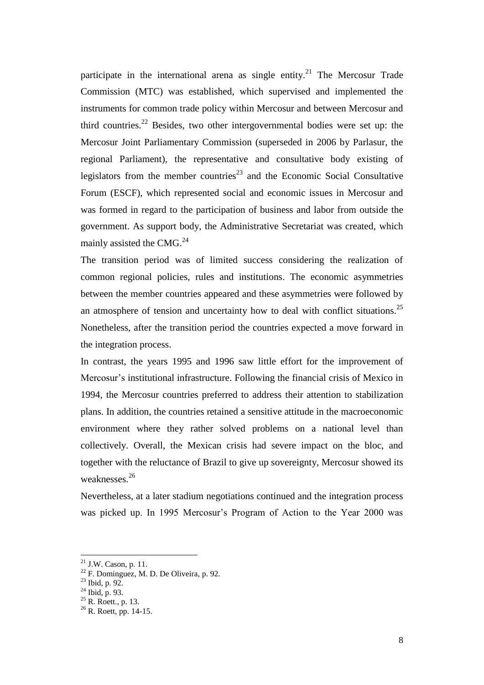participate in the international arena as single entity.<sup>21</sup> The Mercosur Trade Commission (MTC) was established, which supervised and implemented the instruments for common trade policy within Mercosur and between Mercosur and third countries.<sup>22</sup> Besides, two other intergovernmental bodies were set up: the Mercosur Joint Parliamentary Commission (superseded in 2006 by Parlasur, the regional Parliament), the representative and consultative body existing of legislators from the member countries<sup>23</sup> and the Economic Social Consultative Forum (ESCF), which represented social and economic issues in Mercosur and was formed in regard to the participation of business and labor from outside the government. As support body, the Administrative Secretariat was created, which mainly assisted the CMG. $^{24}$ 

The transition period was of limited success considering the realization of common regional policies, rules and institutions. The economic asymmetries between the member countries appeared and these asymmetries were followed by an atmosphere of tension and uncertainty how to deal with conflict situations.<sup>25</sup> Nonetheless, after the transition period the countries expected a move forward in the integration process.

In contrast, the years 1995 and 1996 saw little effort for the improvement of Mercosur's institutional infrastructure. Following the financial crisis of Mexico in 1994, the Mercosur countries preferred to address their attention to stabilization plans. In addition, the countries retained a sensitive attitude in the macroeconomic environment where they rather solved problems on a national level than collectively. Overall, the Mexican crisis had severe impact on the bloc, and together with the reluctance of Brazil to give up sovereignty, Mercosur showed its weaknesses.<sup>26</sup>

Nevertheless, at a later stadium negotiations continued and the integration process was picked up. In 1995 Mercosur's Program of Action to the Year 2000 was

 $21$  J.W. Cason, p. 11.

<sup>22</sup> F. Dominguez, M. D. De Oliveira, p. 92.

<sup>23</sup> Ibid, p. 92.

<sup>24</sup> Ibid, p. 93.

 $25$  R. Roett., p. 13.

 $^{26}$  R. Roett, pp. 14-15.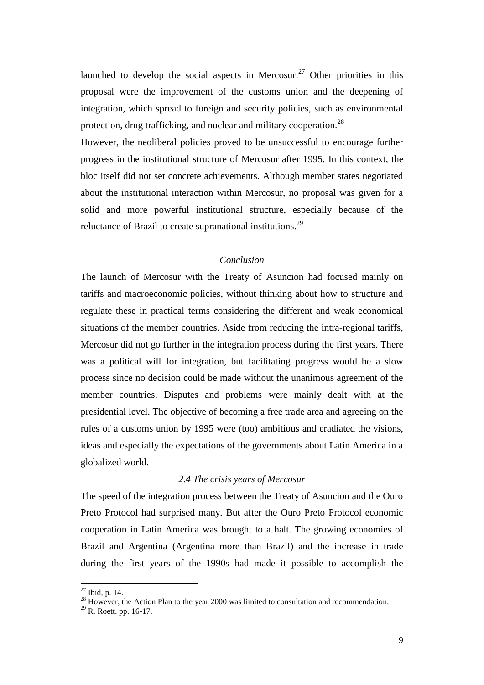launched to develop the social aspects in Mercosur.<sup>27</sup> Other priorities in this proposal were the improvement of the customs union and the deepening of integration, which spread to foreign and security policies, such as environmental protection, drug trafficking, and nuclear and military cooperation.<sup>28</sup>

However, the neoliberal policies proved to be unsuccessful to encourage further progress in the institutional structure of Mercosur after 1995. In this context, the bloc itself did not set concrete achievements. Although member states negotiated about the institutional interaction within Mercosur, no proposal was given for a solid and more powerful institutional structure, especially because of the reluctance of Brazil to create supranational institutions.<sup>29</sup>

#### *Conclusion*

The launch of Mercosur with the Treaty of Asuncion had focused mainly on tariffs and macroeconomic policies, without thinking about how to structure and regulate these in practical terms considering the different and weak economical situations of the member countries. Aside from reducing the intra-regional tariffs, Mercosur did not go further in the integration process during the first years. There was a political will for integration, but facilitating progress would be a slow process since no decision could be made without the unanimous agreement of the member countries. Disputes and problems were mainly dealt with at the presidential level. The objective of becoming a free trade area and agreeing on the rules of a customs union by 1995 were (too) ambitious and eradiated the visions, ideas and especially the expectations of the governments about Latin America in a globalized world.

#### *2.4 The crisis years of Mercosur*

The speed of the integration process between the Treaty of Asuncion and the Ouro Preto Protocol had surprised many. But after the Ouro Preto Protocol economic cooperation in Latin America was brought to a halt. The growing economies of Brazil and Argentina (Argentina more than Brazil) and the increase in trade during the first years of the 1990s had made it possible to accomplish the

 $27$  Ibid, p. 14.

 $^{28}$  However, the Action Plan to the year 2000 was limited to consultation and recommendation.

 $^{29}$  R. Roett. pp. 16-17.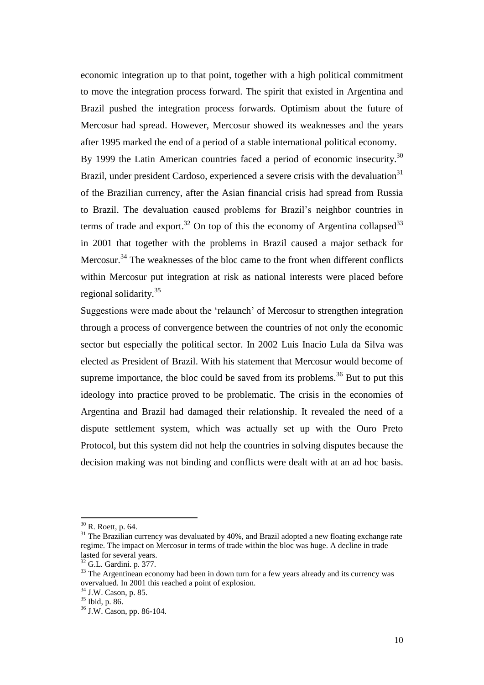economic integration up to that point, together with a high political commitment to move the integration process forward. The spirit that existed in Argentina and Brazil pushed the integration process forwards. Optimism about the future of Mercosur had spread. However, Mercosur showed its weaknesses and the years after 1995 marked the end of a period of a stable international political economy. By 1999 the Latin American countries faced a period of economic insecurity.<sup>30</sup> Brazil, under president Cardoso, experienced a severe crisis with the devaluation<sup>31</sup> of the Brazilian currency, after the Asian financial crisis had spread from Russia to Brazil. The devaluation caused problems for Brazil's neighbor countries in terms of trade and export.<sup>32</sup> On top of this the economy of Argentina collapsed<sup>33</sup> in 2001 that together with the problems in Brazil caused a major setback for Mercosur.<sup>34</sup> The weaknesses of the bloc came to the front when different conflicts within Mercosur put integration at risk as national interests were placed before regional solidarity.<sup>35</sup>

Suggestions were made about the 'relaunch' of Mercosur to strengthen integration through a process of convergence between the countries of not only the economic sector but especially the political sector. In 2002 Luis Inacio Lula da Silva was elected as President of Brazil. With his statement that Mercosur would become of supreme importance, the bloc could be saved from its problems.<sup>36</sup> But to put this ideology into practice proved to be problematic. The crisis in the economies of Argentina and Brazil had damaged their relationship. It revealed the need of a dispute settlement system, which was actually set up with the Ouro Preto Protocol, but this system did not help the countries in solving disputes because the decision making was not binding and conflicts were dealt with at an ad hoc basis.

 $30$  R. Roett, p. 64.

<sup>&</sup>lt;sup>31</sup> The Brazilian currency was devaluated by 40%, and Brazil adopted a new floating exchange rate regime. The impact on Mercosur in terms of trade within the bloc was huge. A decline in trade lasted for several years.

<sup>32</sup> G.L. Gardini. p. 377.

<sup>&</sup>lt;sup>33</sup> The Argentinean economy had been in down turn for a few years already and its currency was overvalued. In 2001 this reached a point of explosion.

<sup>34</sup> J.W. Cason, p. 85.

<sup>35</sup> Ibid, p. 86.

<sup>36</sup> J.W. Cason, pp. 86-104.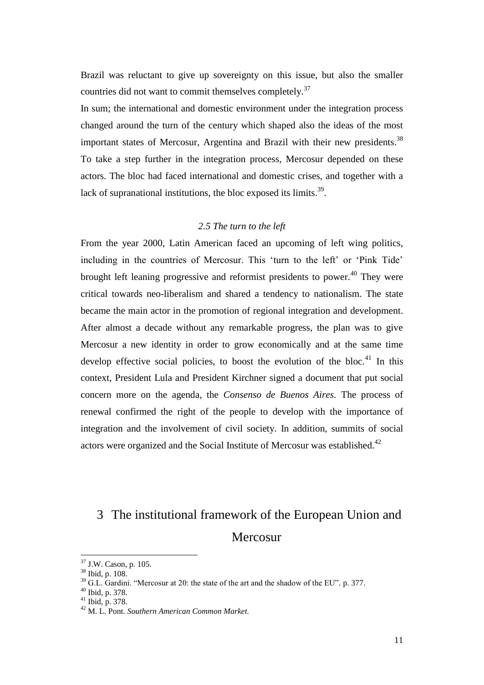Brazil was reluctant to give up sovereignty on this issue, but also the smaller countries did not want to commit themselves completely.<sup>37</sup>

In sum; the international and domestic environment under the integration process changed around the turn of the century which shaped also the ideas of the most important states of Mercosur, Argentina and Brazil with their new presidents.<sup>38</sup> To take a step further in the integration process, Mercosur depended on these actors. The bloc had faced international and domestic crises, and together with a lack of supranational institutions, the bloc exposed its limits.<sup>39</sup>.

#### *2.5 The turn to the left*

From the year 2000, Latin American faced an upcoming of left wing politics, including in the countries of Mercosur. This 'turn to the left' or 'Pink Tide' brought left leaning progressive and reformist presidents to power.<sup>40</sup> They were critical towards neo-liberalism and shared a tendency to nationalism. The state became the main actor in the promotion of regional integration and development. After almost a decade without any remarkable progress, the plan was to give Mercosur a new identity in order to grow economically and at the same time develop effective social policies, to boost the evolution of the bloc.<sup>41</sup> In this context, President Lula and President Kirchner signed a document that put social concern more on the agenda, the *Consenso de Buenos Aires.* The process of renewal confirmed the right of the people to develop with the importance of integration and the involvement of civil society. In addition, summits of social actors were organized and the Social Institute of Mercosur was established.<sup>42</sup>

## 3 The institutional framework of the European Union and Mercosur

<sup>&</sup>lt;sup>37</sup> J.W. Cason, p. 105.

<sup>38</sup> Ibid, p. 108.

<sup>39</sup> G.L. Gardini. "Mercosur at 20: the state of the art and the shadow of the EU"*.* p. 377.

<sup>40</sup> Ibid, p. 378.

<sup>41</sup> Ibid, p. 378.

<sup>42</sup> M. L. Pont. *Southern American Common Market.*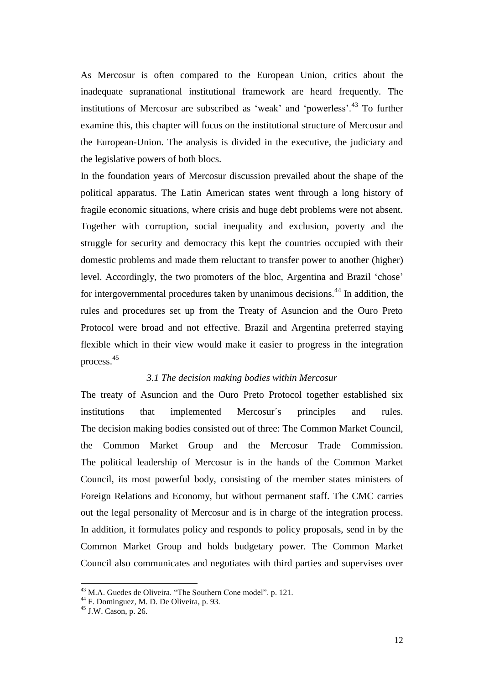As Mercosur is often compared to the European Union, critics about the inadequate supranational institutional framework are heard frequently. The institutions of Mercosur are subscribed as 'weak' and 'powerless'.<sup>43</sup> To further examine this, this chapter will focus on the institutional structure of Mercosur and the European-Union. The analysis is divided in the executive, the judiciary and the legislative powers of both blocs.

In the foundation years of Mercosur discussion prevailed about the shape of the political apparatus. The Latin American states went through a long history of fragile economic situations, where crisis and huge debt problems were not absent. Together with corruption, social inequality and exclusion, poverty and the struggle for security and democracy this kept the countries occupied with their domestic problems and made them reluctant to transfer power to another (higher) level. Accordingly, the two promoters of the bloc, Argentina and Brazil 'chose' for intergovernmental procedures taken by unanimous decisions.<sup>44</sup> In addition, the rules and procedures set up from the Treaty of Asuncion and the Ouro Preto Protocol were broad and not effective. Brazil and Argentina preferred staying flexible which in their view would make it easier to progress in the integration process. 45

#### *3.1 The decision making bodies within Mercosur*

The treaty of Asuncion and the Ouro Preto Protocol together established six institutions that implemented Mercosur´s principles and rules. The decision making bodies consisted out of three: The Common Market Council, the Common Market Group and the Mercosur Trade Commission. The political leadership of Mercosur is in the hands of the Common Market Council, its most powerful body, consisting of the member states ministers of Foreign Relations and Economy, but without permanent staff. The CMC carries out the legal personality of Mercosur and is in charge of the integration process. In addition, it formulates policy and responds to policy proposals, send in by the Common Market Group and holds budgetary power. The Common Market Council also communicates and negotiates with third parties and supervises over

<sup>43</sup> M.A. Guedes de Oliveira. "The Southern Cone model". p. 121.

<sup>44</sup> F. Dominguez, M. D. De Oliveira, p. 93.

 $45$  J.W. Cason, p. 26.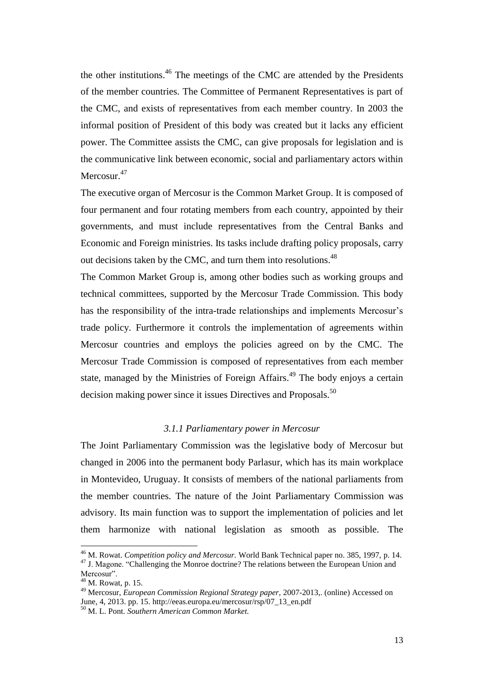the other institutions.<sup>46</sup> The meetings of the CMC are attended by the Presidents of the member countries. The Committee of Permanent Representatives is part of the CMC, and exists of representatives from each member country. In 2003 the informal position of President of this body was created but it lacks any efficient power. The Committee assists the CMC, can give proposals for legislation and is the communicative link between economic, social and parliamentary actors within Mercosur.<sup>47</sup>

The executive organ of Mercosur is the Common Market Group. It is composed of four permanent and four rotating members from each country, appointed by their governments, and must include representatives from the Central Banks and Economic and Foreign ministries. Its tasks include drafting policy proposals, carry out decisions taken by the CMC, and turn them into resolutions.<sup>48</sup>

The Common Market Group is, among other bodies such as working groups and technical committees, supported by the Mercosur Trade Commission. This body has the responsibility of the intra-trade relationships and implements Mercosur's trade policy. Furthermore it controls the implementation of agreements within Mercosur countries and employs the policies agreed on by the CMC. The Mercosur Trade Commission is composed of representatives from each member state, managed by the Ministries of Foreign Affairs.<sup>49</sup> The body enjoys a certain decision making power since it issues Directives and Proposals.<sup>50</sup>

#### *3.1.1 Parliamentary power in Mercosur*

The Joint Parliamentary Commission was the legislative body of Mercosur but changed in 2006 into the permanent body Parlasur, which has its main workplace in Montevideo, Uruguay. It consists of members of the national parliaments from the member countries. The nature of the Joint Parliamentary Commission was advisory. Its main function was to support the implementation of policies and let them harmonize with national legislation as smooth as possible. The

<sup>46</sup> M. Rowat. *Competition policy and Mercosur.* World Bank Technical paper no. 385, 1997, p. 14. <sup>47</sup> J. Magone. "Challenging the Monroe doctrine? The relations between the European Union and Mercosur".

<sup>48</sup> M. Rowat, p. 15.

<sup>49</sup> Mercosur, *European Commission Regional Strategy paper,* 2007-2013,. (online) Accessed on June, 4, 2013. pp. 15[. http://eeas.europa.eu/mercosur/rsp/07\\_13\\_en.pdf](http://eeas.europa.eu/mercosur/rsp/07_13_en.pdf)

<sup>50</sup> M. L. Pont. *Southern American Common Market.*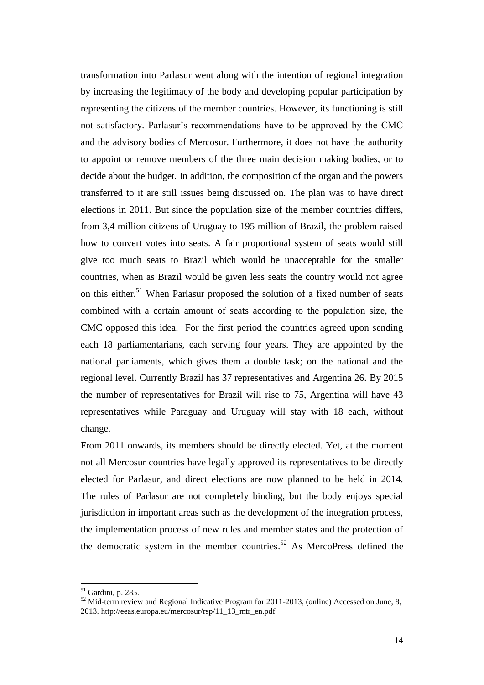transformation into Parlasur went along with the intention of regional integration by increasing the legitimacy of the body and developing popular participation by representing the citizens of the member countries. However, its functioning is still not satisfactory. Parlasur's recommendations have to be approved by the CMC and the advisory bodies of Mercosur. Furthermore, it does not have the authority to appoint or remove members of the three main decision making bodies, or to decide about the budget. In addition, the composition of the organ and the powers transferred to it are still issues being discussed on. The plan was to have direct elections in 2011. But since the population size of the member countries differs, from 3,4 million citizens of Uruguay to 195 million of Brazil, the problem raised how to convert votes into seats. A fair proportional system of seats would still give too much seats to Brazil which would be unacceptable for the smaller countries, when as Brazil would be given less seats the country would not agree on this either.<sup>51</sup> When Parlasur proposed the solution of a fixed number of seats combined with a certain amount of seats according to the population size, the CMC opposed this idea. For the first period the countries agreed upon sending each 18 parliamentarians, each serving four years. They are appointed by the national parliaments, which gives them a double task; on the national and the regional level. Currently Brazil has 37 representatives and Argentina 26. By 2015 the number of representatives for Brazil will rise to 75, Argentina will have 43 representatives while Paraguay and Uruguay will stay with 18 each, without change.

From 2011 onwards, its members should be directly elected. Yet, at the moment not all Mercosur countries have legally approved its representatives to be directly elected for Parlasur, and direct elections are now planned to be held in 2014. The rules of Parlasur are not completely binding, but the body enjoys special jurisdiction in important areas such as the development of the integration process, the implementation process of new rules and member states and the protection of the democratic system in the member countries.<sup>52</sup> As MercoPress defined the

<sup>51</sup> Gardini, p. 285.

<sup>&</sup>lt;sup>52</sup> Mid-term review and Regional Indicative Program for 2011-2013, (online) Accessed on June, 8, 2013. [http://eeas.europa.eu/mercosur/rsp/11\\_13\\_mtr\\_en.pdf](http://eeas.europa.eu/mercosur/rsp/11_13_mtr_en.pdf)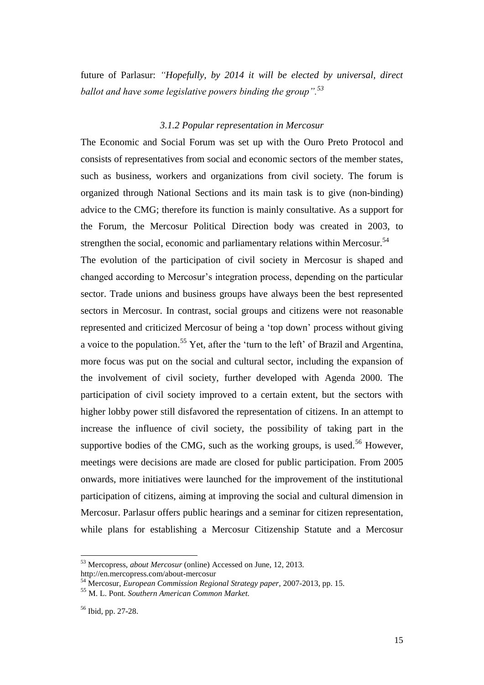future of Parlasur: *"Hopefully, by 2014 it will be elected by universal, direct ballot and have some legislative powers binding the group".<sup>53</sup>*

#### *3.1.2 Popular representation in Mercosur*

The Economic and Social Forum was set up with the Ouro Preto Protocol and consists of representatives from social and economic sectors of the member states, such as business, workers and organizations from civil society. The forum is organized through National Sections and its main task is to give (non-binding) advice to the CMG; therefore its function is mainly consultative. As a support for the Forum, the Mercosur Political Direction body was created in 2003, to strengthen the social, economic and parliamentary relations within Mercosur.<sup>54</sup> The evolution of the participation of civil society in Mercosur is shaped and changed according to Mercosur's integration process, depending on the particular sector. Trade unions and business groups have always been the best represented sectors in Mercosur. In contrast, social groups and citizens were not reasonable represented and criticized Mercosur of being a 'top down' process without giving a voice to the population.<sup>55</sup> Yet, after the 'turn to the left' of Brazil and Argentina, more focus was put on the social and cultural sector, including the expansion of the involvement of civil society, further developed with Agenda 2000. The participation of civil society improved to a certain extent, but the sectors with higher lobby power still disfavored the representation of citizens. In an attempt to increase the influence of civil society, the possibility of taking part in the supportive bodies of the CMG, such as the working groups, is used.<sup>56</sup> However, meetings were decisions are made are closed for public participation. From 2005 onwards, more initiatives were launched for the improvement of the institutional participation of citizens, aiming at improving the social and cultural dimension in Mercosur. Parlasur offers public hearings and a seminar for citizen representation, while plans for establishing a Mercosur Citizenship Statute and a Mercosur

<sup>53</sup> Mercopress, *about Mercosur* (online) Accessed on June, 12, 2013.

<http://en.mercopress.com/about-mercosur>

<sup>54</sup> Mercosur, *European Commission Regional Strategy paper,* 2007-2013, pp. 15.

<sup>55</sup> M. L. Pont. *Southern American Common Market.*

<sup>56</sup> Ibid, pp. 27-28.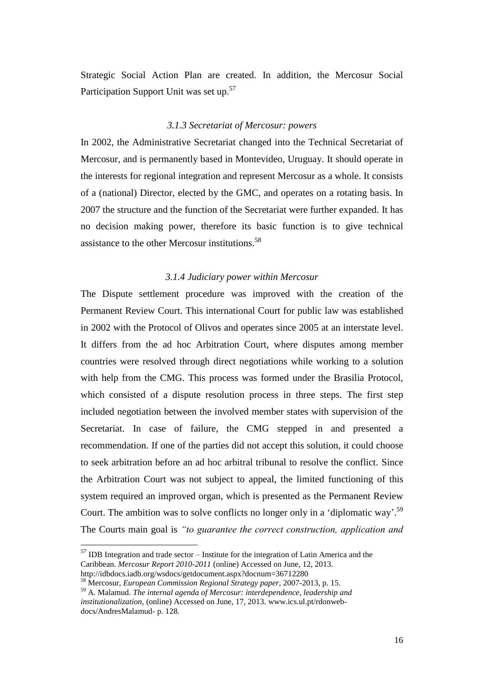Strategic Social Action Plan are created. In addition, the Mercosur Social Participation Support Unit was set up.<sup>57</sup>

#### *3.1.3 Secretariat of Mercosur: powers*

In 2002, the Administrative Secretariat changed into the Technical Secretariat of Mercosur, and is permanently based in Montevideo, Uruguay. It should operate in the interests for regional integration and represent Mercosur as a whole. It consists of a (national) Director, elected by the GMC, and operates on a rotating basis. In 2007 the structure and the function of the Secretariat were further expanded. It has no decision making power, therefore its basic function is to give technical assistance to the other Mercosur institutions.<sup>58</sup>

#### *3.1.4 Judiciary power within Mercosur*

The Dispute settlement procedure was improved with the creation of the Permanent Review Court. This international Court for public law was established in 2002 with the Protocol of Olivos and operates since 2005 at an interstate level. It differs from the ad hoc Arbitration Court, where disputes among member countries were resolved through direct negotiations while working to a solution with help from the CMG. This process was formed under the Brasilia Protocol, which consisted of a dispute resolution process in three steps. The first step included negotiation between the involved member states with supervision of the Secretariat. In case of failure, the CMG stepped in and presented a recommendation. If one of the parties did not accept this solution, it could choose to seek arbitration before an ad hoc arbitral tribunal to resolve the conflict. Since the Arbitration Court was not subject to appeal, the limited functioning of this system required an improved organ, which is presented as the Permanent Review Court. The ambition was to solve conflicts no longer only in a 'diplomatic way'.<sup>59</sup> The Courts main goal is *"to guarantee the correct construction, application and* 

 $57$  IDB Integration and trade sector – Institute for the integration of Latin America and the Caribbean. *Mercosur Report 2010-2011* (online) Accessed on June, 12, 2013. <http://idbdocs.iadb.org/wsdocs/getdocument.aspx?docnum=36712280>

<sup>58</sup> Mercosur, *European Commission Regional Strategy paper,* 2007-2013, p. 15.

<sup>59</sup> A. Malamud. *The internal agenda of Mercosur: interdependence, leadership and institutionalization,* (online) Accessed on June, 17, 2013. [www.ics.ul.pt/rdonweb](http://www.ics.ul.pt/rdonweb-docs/AndresMalamud-)[docs/AndresMalamud-](http://www.ics.ul.pt/rdonweb-docs/AndresMalamud-) p. 128.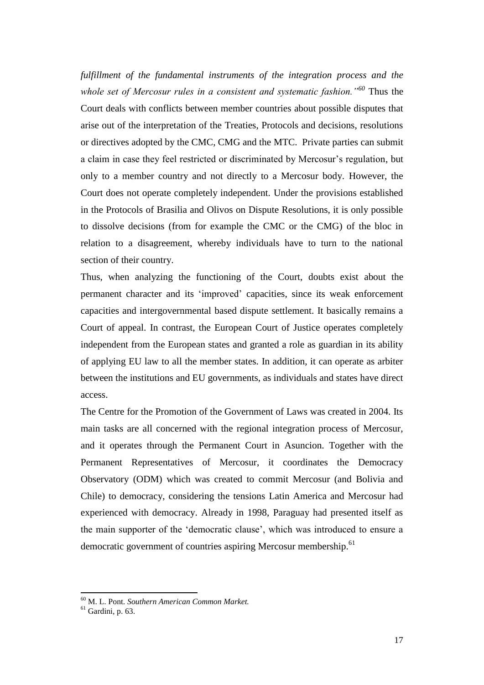*fulfillment of the fundamental instruments of the integration process and the whole set of Mercosur rules in a consistent and systematic fashion."<sup>60</sup>* Thus the Court deals with conflicts between member countries about possible disputes that arise out of the interpretation of the Treaties, Protocols and decisions, resolutions or directives adopted by the CMC, CMG and the MTC. Private parties can submit a claim in case they feel restricted or discriminated by Mercosur's regulation, but only to a member country and not directly to a Mercosur body. However, the Court does not operate completely independent. Under the provisions established in the Protocols of Brasilia and Olivos on Dispute Resolutions, it is only possible to dissolve decisions (from for example the CMC or the CMG) of the bloc in relation to a disagreement, whereby individuals have to turn to the national section of their country.

Thus, when analyzing the functioning of the Court, doubts exist about the permanent character and its 'improved' capacities, since its weak enforcement capacities and intergovernmental based dispute settlement. It basically remains a Court of appeal. In contrast, the European Court of Justice operates completely independent from the European states and granted a role as guardian in its ability of applying EU law to all the member states. In addition, it can operate as arbiter between the institutions and EU governments, as individuals and states have direct access.

The Centre for the Promotion of the Government of Laws was created in 2004. Its main tasks are all concerned with the regional integration process of Mercosur, and it operates through the Permanent Court in Asuncion. Together with the Permanent Representatives of Mercosur, it coordinates the Democracy Observatory (ODM) which was created to commit Mercosur (and Bolivia and Chile) to democracy, considering the tensions Latin America and Mercosur had experienced with democracy. Already in 1998, Paraguay had presented itself as the main supporter of the 'democratic clause', which was introduced to ensure a democratic government of countries aspiring Mercosur membership.<sup>61</sup>

<sup>60</sup> M. L. Pont. *Southern American Common Market.*

 $61$  Gardini, p. 63.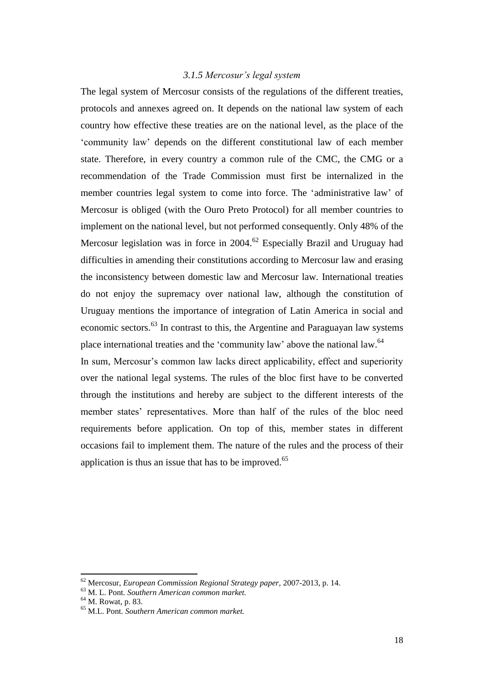#### *3.1.5 Mercosur's legal system*

The legal system of Mercosur consists of the regulations of the different treaties, protocols and annexes agreed on. It depends on the national law system of each country how effective these treaties are on the national level, as the place of the 'community law' depends on the different constitutional law of each member state. Therefore, in every country a common rule of the CMC, the CMG or a recommendation of the Trade Commission must first be internalized in the member countries legal system to come into force. The 'administrative law' of Mercosur is obliged (with the Ouro Preto Protocol) for all member countries to implement on the national level, but not performed consequently. Only 48% of the Mercosur legislation was in force in  $2004$ .<sup>62</sup> Especially Brazil and Uruguay had difficulties in amending their constitutions according to Mercosur law and erasing the inconsistency between domestic law and Mercosur law. International treaties do not enjoy the supremacy over national law, although the constitution of Uruguay mentions the importance of integration of Latin America in social and economic sectors.<sup>63</sup> In contrast to this, the Argentine and Paraguayan law systems place international treaties and the 'community law' above the national law.<sup>64</sup> In sum, Mercosur's common law lacks direct applicability, effect and superiority over the national legal systems. The rules of the bloc first have to be converted through the institutions and hereby are subject to the different interests of the member states' representatives. More than half of the rules of the bloc need requirements before application. On top of this, member states in different occasions fail to implement them. The nature of the rules and the process of their application is thus an issue that has to be improved. $65$ 

<sup>62</sup> Mercosur, *European Commission Regional Strategy paper,* 2007-2013, p. 14.

<sup>63</sup> M. L. Pont. *Southern American common market.*

<sup>64</sup> M. Rowat, p. 83.

<sup>65</sup> M.L. Pont. *Southern American common market.*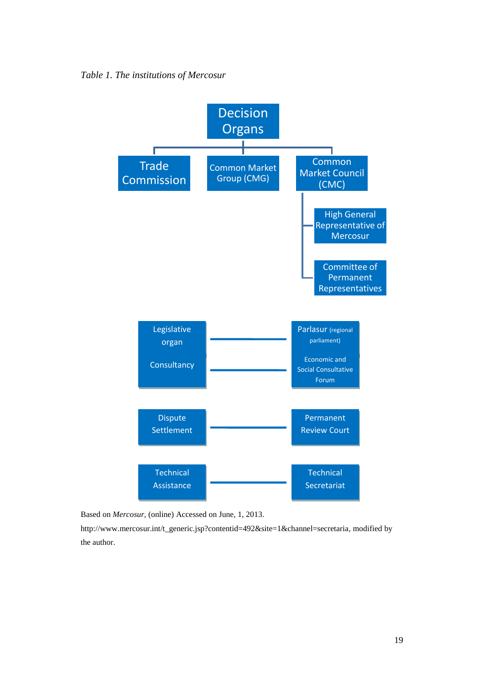*Table 1. The institutions of Mercosur*



Based on *Mercosur*, (online) Accessed on June, 1, 2013.

[http://www.mercosur.int/t\\_generic.jsp?contentid=492&site=1&channel=secretaria,](http://www.mercosur.int/t_generic.jsp?contentid=492&site=1&channel=secretaria) modified by the author.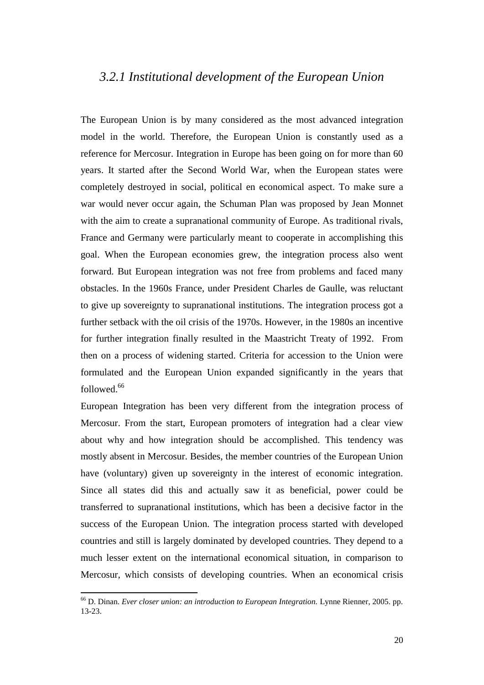### *3.2.1 Institutional development of the European Union*

The European Union is by many considered as the most advanced integration model in the world. Therefore, the European Union is constantly used as a reference for Mercosur. Integration in Europe has been going on for more than 60 years. It started after the Second World War, when the European states were completely destroyed in social, political en economical aspect. To make sure a war would never occur again, the Schuman Plan was proposed by Jean Monnet with the aim to create a supranational community of Europe. As traditional rivals, France and Germany were particularly meant to cooperate in accomplishing this goal. When the European economies grew, the integration process also went forward. But European integration was not free from problems and faced many obstacles. In the 1960s France, under President Charles de Gaulle, was reluctant to give up sovereignty to supranational institutions. The integration process got a further setback with the oil crisis of the 1970s. However, in the 1980s an incentive for further integration finally resulted in the Maastricht Treaty of 1992. From then on a process of widening started. Criteria for accession to the Union were formulated and the European Union expanded significantly in the years that  $followed<sup>66</sup>$ 

European Integration has been very different from the integration process of Mercosur. From the start, European promoters of integration had a clear view about why and how integration should be accomplished. This tendency was mostly absent in Mercosur. Besides, the member countries of the European Union have (voluntary) given up sovereignty in the interest of economic integration. Since all states did this and actually saw it as beneficial, power could be transferred to supranational institutions, which has been a decisive factor in the success of the European Union. The integration process started with developed countries and still is largely dominated by developed countries. They depend to a much lesser extent on the international economical situation, in comparison to Mercosur, which consists of developing countries. When an economical crisis

<sup>&</sup>lt;sup>66</sup> D. Dinan. *Ever closer union: an introduction to European Integration*. Lynne Rienner, 2005. pp. 13-23.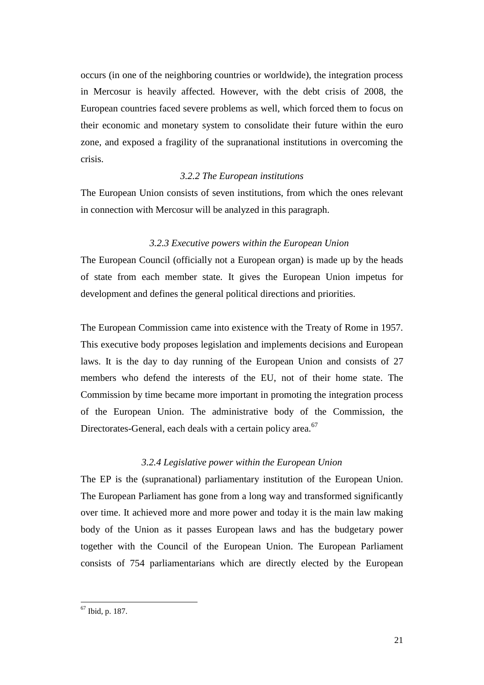occurs (in one of the neighboring countries or worldwide), the integration process in Mercosur is heavily affected. However, with the debt crisis of 2008, the European countries faced severe problems as well, which forced them to focus on their economic and monetary system to consolidate their future within the euro zone, and exposed a fragility of the supranational institutions in overcoming the crisis.

#### *3.2.2 The European institutions*

The European Union consists of seven institutions, from which the ones relevant in connection with Mercosur will be analyzed in this paragraph.

#### *3.2.3 Executive powers within the European Union*

The European Council (officially not a European organ) is made up by the heads of state from each member state. It gives the European Union impetus for development and defines the general political directions and priorities.

The European Commission came into existence with the Treaty of Rome in 1957. This executive body proposes legislation and implements decisions and European laws. It is the day to day running of the European Union and consists of 27 members who defend the interests of the EU, not of their home state. The Commission by time became more important in promoting the integration process of the European Union. The administrative body of the Commission, the Directorates-General, each deals with a certain policy area.<sup>67</sup>

#### *3.2.4 Legislative power within the European Union*

The EP is the (supranational) parliamentary institution of the European Union. The European Parliament has gone from a long way and transformed significantly over time. It achieved more and more power and today it is the main law making body of the Union as it passes European laws and has the budgetary power together with the Council of the European Union. The European Parliament consists of 754 parliamentarians which are directly elected by the European

 $67$  Ibid, p. 187.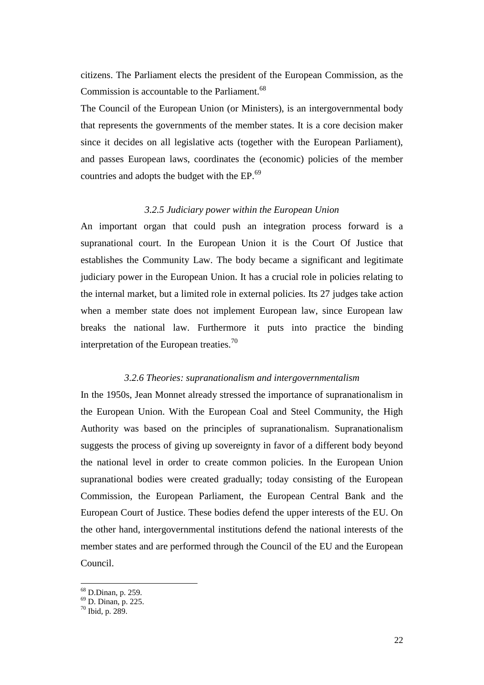citizens. The Parliament elects the president of the European Commission, as the Commission is accountable to the Parliament.<sup>68</sup>

The Council of the European Union (or Ministers), is an intergovernmental body that represents the governments of the member states. It is a core decision maker since it decides on all legislative acts (together with the European Parliament), and passes European laws, coordinates the (economic) policies of the member countries and adopts the budget with the EP.<sup>69</sup>

#### *3.2.5 Judiciary power within the European Union*

An important organ that could push an integration process forward is a supranational court. In the European Union it is the Court Of Justice that establishes the Community Law. The body became a significant and legitimate judiciary power in the European Union. It has a crucial role in policies relating to the internal market, but a limited role in external policies. Its 27 judges take action when a member state does not implement European law, since European law breaks the national law. Furthermore it puts into practice the binding interpretation of the European treaties.<sup>70</sup>

#### *3.2.6 Theories: supranationalism and intergovernmentalism*

In the 1950s, Jean Monnet already stressed the importance of supranationalism in the European Union. With the European Coal and Steel Community, the High Authority was based on the principles of supranationalism. Supranationalism suggests the process of giving up sovereignty in favor of a different body beyond the national level in order to create common policies. In the European Union supranational bodies were created gradually; today consisting of the European Commission, the European Parliament, the European Central Bank and the European Court of Justice. These bodies defend the upper interests of the EU. On the other hand, intergovernmental institutions defend the national interests of the member states and are performed through the Council of the EU and the European Council.

<sup>68</sup> D.Dinan, p. 259.

<sup>&</sup>lt;sup>69</sup> D. Dinan, p. 225.

<sup>70</sup> Ibid, p. 289.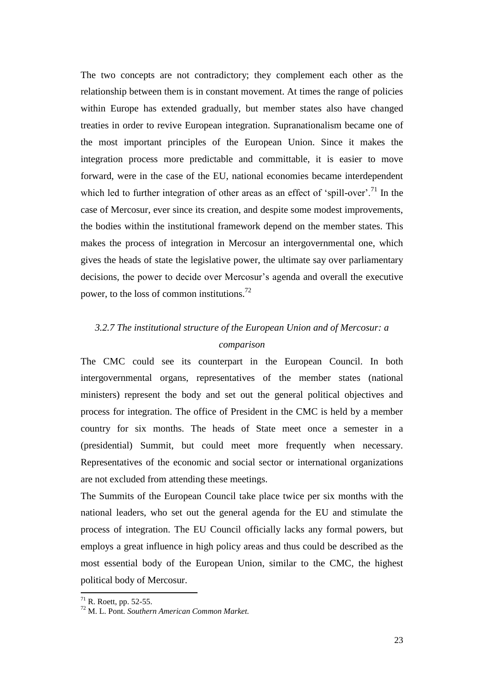The two concepts are not contradictory; they complement each other as the relationship between them is in constant movement. At times the range of policies within Europe has extended gradually, but member states also have changed treaties in order to revive European integration. Supranationalism became one of the most important principles of the European Union. Since it makes the integration process more predictable and committable, it is easier to move forward, were in the case of the EU, national economies became interdependent which led to further integration of other areas as an effect of 'spill-over'.<sup>71</sup> In the case of Mercosur, ever since its creation, and despite some modest improvements, the bodies within the institutional framework depend on the member states. This makes the process of integration in Mercosur an intergovernmental one, which gives the heads of state the legislative power, the ultimate say over parliamentary decisions, the power to decide over Mercosur's agenda and overall the executive power, to the loss of common institutions.<sup>72</sup>

## *3.2.7 The institutional structure of the European Union and of Mercosur: a comparison*

The CMC could see its counterpart in the European Council. In both intergovernmental organs, representatives of the member states (national ministers) represent the body and set out the general political objectives and process for integration. The office of President in the CMC is held by a member country for six months. The heads of State meet once a semester in a (presidential) Summit, but could meet more frequently when necessary. Representatives of the economic and social sector or international organizations are not excluded from attending these meetings.

The Summits of the European Council take place twice per six months with the national leaders, who set out the general agenda for the EU and stimulate the process of integration. The EU Council officially lacks any formal powers, but employs a great influence in high policy areas and thus could be described as the most essential body of the European Union, similar to the CMC, the highest political body of Mercosur.

 $71$  R. Roett, pp. 52-55.

<sup>72</sup> M. L. Pont. *Southern American Common Market.*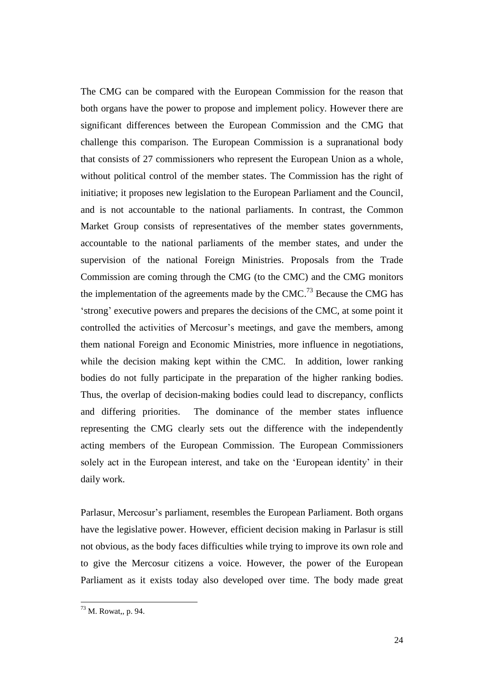The CMG can be compared with the European Commission for the reason that both organs have the power to propose and implement policy. However there are significant differences between the European Commission and the CMG that challenge this comparison. The European Commission is a supranational body that consists of 27 commissioners who represent the European Union as a whole, without political control of the member states. The Commission has the right of initiative; it proposes new legislation to the European Parliament and the Council, and is not accountable to the national parliaments. In contrast, the Common Market Group consists of representatives of the member states governments, accountable to the national parliaments of the member states, and under the supervision of the national Foreign Ministries. Proposals from the Trade Commission are coming through the CMG (to the CMC) and the CMG monitors the implementation of the agreements made by the CMC.<sup>73</sup> Because the CMG has 'strong' executive powers and prepares the decisions of the CMC, at some point it controlled the activities of Mercosur's meetings, and gave the members, among them national Foreign and Economic Ministries, more influence in negotiations, while the decision making kept within the CMC. In addition, lower ranking bodies do not fully participate in the preparation of the higher ranking bodies. Thus, the overlap of decision-making bodies could lead to discrepancy, conflicts and differing priorities. The dominance of the member states influence representing the CMG clearly sets out the difference with the independently acting members of the European Commission. The European Commissioners solely act in the European interest, and take on the 'European identity' in their daily work.

Parlasur, Mercosur's parliament, resembles the European Parliament. Both organs have the legislative power. However, efficient decision making in Parlasur is still not obvious, as the body faces difficulties while trying to improve its own role and to give the Mercosur citizens a voice. However, the power of the European Parliament as it exists today also developed over time. The body made great

 $^{73}$  M. Rowat,, p. 94.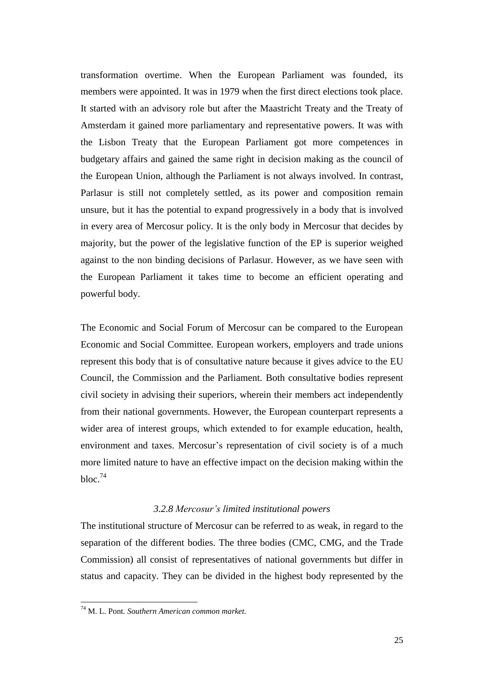transformation overtime. When the European Parliament was founded, its members were appointed. It was in 1979 when the first direct elections took place. It started with an advisory role but after the Maastricht Treaty and the Treaty of Amsterdam it gained more parliamentary and representative powers. It was with the Lisbon Treaty that the European Parliament got more competences in budgetary affairs and gained the same right in decision making as the council of the European Union, although the Parliament is not always involved. In contrast, Parlasur is still not completely settled, as its power and composition remain unsure, but it has the potential to expand progressively in a body that is involved in every area of Mercosur policy. It is the only body in Mercosur that decides by majority, but the power of the legislative function of the EP is superior weighed against to the non binding decisions of Parlasur. However, as we have seen with the European Parliament it takes time to become an efficient operating and powerful body.

The Economic and Social Forum of Mercosur can be compared to the European Economic and Social Committee. European workers, employers and trade unions represent this body that is of consultative nature because it gives advice to the EU Council, the Commission and the Parliament. Both consultative bodies represent civil society in advising their superiors, wherein their members act independently from their national governments. However, the European counterpart represents a wider area of interest groups, which extended to for example education, health, environment and taxes. Mercosur's representation of civil society is of a much more limited nature to have an effective impact on the decision making within the  $bloc.<sup>74</sup>$ 

#### *3.2.8 Mercosur's limited institutional powers*

The institutional structure of Mercosur can be referred to as weak, in regard to the separation of the different bodies. The three bodies (CMC, CMG, and the Trade Commission) all consist of representatives of national governments but differ in status and capacity. They can be divided in the highest body represented by the

<sup>74</sup> M. L. Pont. *Southern American common market.*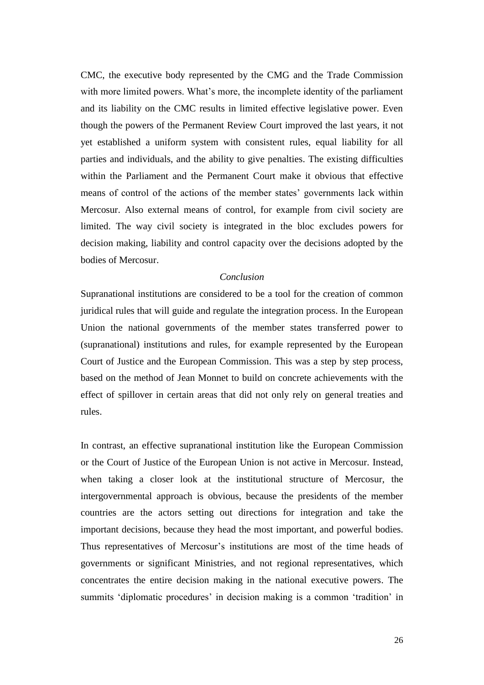CMC, the executive body represented by the CMG and the Trade Commission with more limited powers. What's more, the incomplete identity of the parliament and its liability on the CMC results in limited effective legislative power. Even though the powers of the Permanent Review Court improved the last years, it not yet established a uniform system with consistent rules, equal liability for all parties and individuals, and the ability to give penalties. The existing difficulties within the Parliament and the Permanent Court make it obvious that effective means of control of the actions of the member states' governments lack within Mercosur. Also external means of control, for example from civil society are limited. The way civil society is integrated in the bloc excludes powers for decision making, liability and control capacity over the decisions adopted by the bodies of Mercosur.

#### *Conclusion*

Supranational institutions are considered to be a tool for the creation of common juridical rules that will guide and regulate the integration process. In the European Union the national governments of the member states transferred power to (supranational) institutions and rules, for example represented by the European Court of Justice and the European Commission. This was a step by step process, based on the method of Jean Monnet to build on concrete achievements with the effect of spillover in certain areas that did not only rely on general treaties and rules.

In contrast, an effective supranational institution like the European Commission or the Court of Justice of the European Union is not active in Mercosur. Instead, when taking a closer look at the institutional structure of Mercosur, the intergovernmental approach is obvious, because the presidents of the member countries are the actors setting out directions for integration and take the important decisions, because they head the most important, and powerful bodies. Thus representatives of Mercosur's institutions are most of the time heads of governments or significant Ministries, and not regional representatives, which concentrates the entire decision making in the national executive powers. The summits 'diplomatic procedures' in decision making is a common 'tradition' in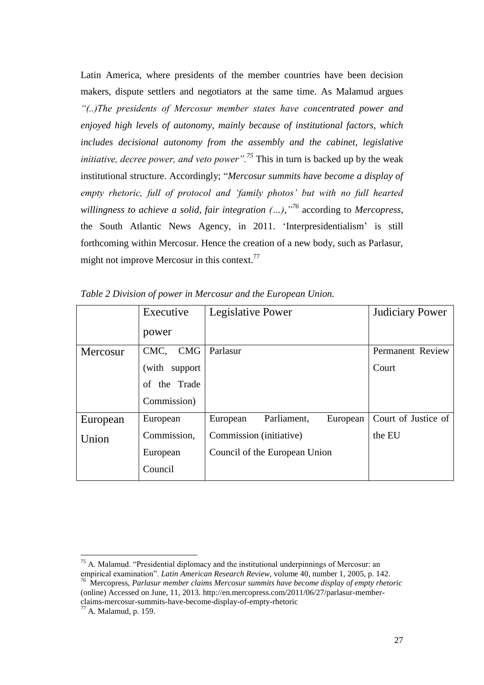Latin America, where presidents of the member countries have been decision makers, dispute settlers and negotiators at the same time. As Malamud argues *"(..)The presidents of Mercosur member states have concentrated power and enjoyed high levels of autonomy, mainly because of institutional factors, which includes decisional autonomy from the assembly and the cabinet, legislative initiative, decree power, and veto power".<sup>75</sup>* This in turn is backed up by the weak institutional structure. Accordingly; "*Mercosur summits have become a display of empty rhetoric, full of protocol and 'family photos' but with no full hearted willingness to achieve a solid, fair integration (…)," <sup>76</sup>* according to *Mercopress*, the South Atlantic News Agency, in 2011. 'Interpresidentialism' is still forthcoming within Mercosur. Hence the creation of a new body, such as Parlasur, might not improve Mercosur in this context.<sup>77</sup>

|          | Executive          | Legislative Power                   | <b>Judiciary Power</b> |
|----------|--------------------|-------------------------------------|------------------------|
|          | power              |                                     |                        |
| Mercosur | <b>CMG</b><br>CMC, | Parlasur                            | Permanent Review       |
|          | (with<br>support   |                                     | Court                  |
|          | the Trade<br>of    |                                     |                        |
|          | Commission)        |                                     |                        |
| European | European           | Parliament,<br>European<br>European | Court of Justice of    |
| Union    | Commission,        | Commission (initiative)             | the EU                 |
|          | European           | Council of the European Union       |                        |
|          | Council            |                                     |                        |

*Table 2 Division of power in Mercosur and the European Union.*

<sup>75</sup> A. Malamud. "Presidential diplomacy and the institutional underpinnings of Mercosur: an empirical examination". *Latin American Research Review, volume 40, number 1, 2005, p. 142.*<br><sup>76</sup> Mercopress, *Parlasur member claims Mercosur summits have become display of empty rhetoric* 

<sup>(</sup>online) Accessed on June, 11, 2013. [http://en.mercopress.com/2011/06/27/parlasur-member](http://en.mercopress.com/2011/06/27/parlasur-member-claims-mercosur-summits-have-become-display-of-empty-rhetoric)[claims-mercosur-summits-have-become-display-of-empty-rhetoric](http://en.mercopress.com/2011/06/27/parlasur-member-claims-mercosur-summits-have-become-display-of-empty-rhetoric)

 $77$  A. Malamud, p. 159.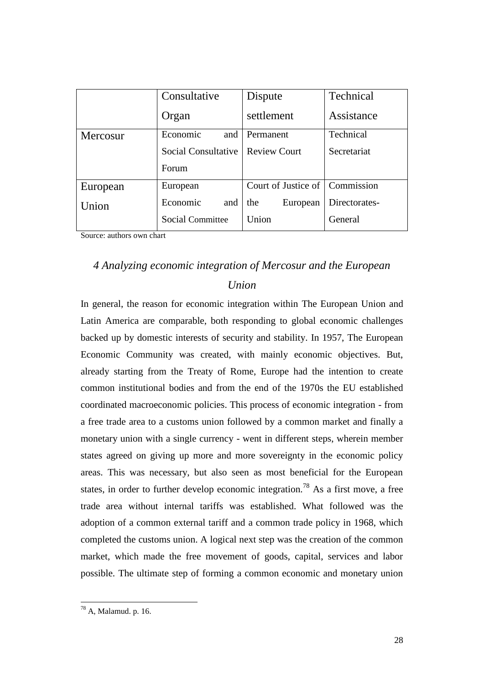|          | Consultative            | Dispute                          | Technical     |  |
|----------|-------------------------|----------------------------------|---------------|--|
|          | Organ                   | settlement                       | Assistance    |  |
| Mercosur | Economic<br>and         | Permanent                        | Technical     |  |
|          | Social Consultative     | <b>Review Court</b>              | Secretariat   |  |
|          | Forum                   |                                  |               |  |
| European | European                | Court of Justice of   Commission |               |  |
| Union    | Economic<br>and         | the<br>European                  | Directorates- |  |
|          | <b>Social Committee</b> | Union                            | General       |  |

Source: authors own chart

## *4 Analyzing economic integration of Mercosur and the European*

#### *Union*

In general, the reason for economic integration within The European Union and Latin America are comparable, both responding to global economic challenges backed up by domestic interests of security and stability. In 1957, The European Economic Community was created, with mainly economic objectives. But, already starting from the Treaty of Rome, Europe had the intention to create common institutional bodies and from the end of the 1970s the EU established coordinated macroeconomic policies. This process of economic integration - from a free trade area to a customs union followed by a common market and finally a monetary union with a single currency - went in different steps, wherein member states agreed on giving up more and more sovereignty in the economic policy areas. This was necessary, but also seen as most beneficial for the European states, in order to further develop economic integration.<sup>78</sup> As a first move, a free trade area without internal tariffs was established. What followed was the adoption of a common external tariff and a common trade policy in 1968, which completed the customs union. A logical next step was the creation of the common market, which made the free movement of goods, capital, services and labor possible. The ultimate step of forming a common economic and monetary union

 $78$  A, Malamud. p. 16.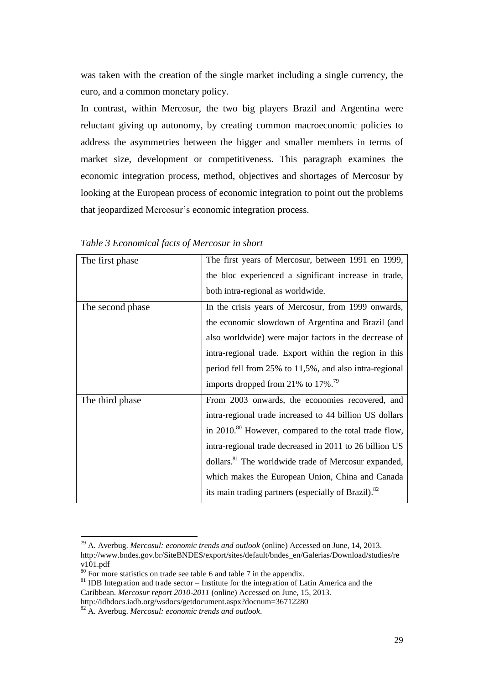was taken with the creation of the single market including a single currency, the euro, and a common monetary policy.

In contrast, within Mercosur, the two big players Brazil and Argentina were reluctant giving up autonomy, by creating common macroeconomic policies to address the asymmetries between the bigger and smaller members in terms of market size, development or competitiveness. This paragraph examines the economic integration process, method, objectives and shortages of Mercosur by looking at the European process of economic integration to point out the problems that jeopardized Mercosur's economic integration process.

| The first phase  | The first years of Mercosur, between 1991 en 1999,                |  |  |  |  |
|------------------|-------------------------------------------------------------------|--|--|--|--|
|                  | the bloc experienced a significant increase in trade,             |  |  |  |  |
|                  | both intra-regional as worldwide.                                 |  |  |  |  |
| The second phase | In the crisis years of Mercosur, from 1999 onwards,               |  |  |  |  |
|                  | the economic slowdown of Argentina and Brazil (and                |  |  |  |  |
|                  | also worldwide) were major factors in the decrease of             |  |  |  |  |
|                  | intra-regional trade. Export within the region in this            |  |  |  |  |
|                  | period fell from 25% to 11,5%, and also intra-regional            |  |  |  |  |
|                  | imports dropped from 21% to 17%. <sup>79</sup>                    |  |  |  |  |
| The third phase  | From 2003 onwards, the economies recovered, and                   |  |  |  |  |
|                  | intra-regional trade increased to 44 billion US dollars           |  |  |  |  |
|                  | in 2010. <sup>80</sup> However, compared to the total trade flow, |  |  |  |  |
|                  | intra-regional trade decreased in 2011 to 26 billion US           |  |  |  |  |
|                  | dollars. <sup>81</sup> The worldwide trade of Mercosur expanded,  |  |  |  |  |
|                  | which makes the European Union, China and Canada                  |  |  |  |  |
|                  | its main trading partners (especially of Brazil). <sup>82</sup>   |  |  |  |  |

*Table 3 Economical facts of Mercosur in short*

<sup>79</sup> A. Averbug. *Mercosul: economic trends and outlook* (online) Accessed on June, 14, 2013. [http://www.bndes.gov.br/SiteBNDES/export/sites/default/bndes\\_en/Galerias/Download/studies/re](http://www.bndes.gov.br/SiteBNDES/export/sites/default/bndes_en/Galerias/Download/studies/rev101.pdf)  $v101.pdf$ 

<sup>&</sup>lt;sup>80</sup> For more statistics on trade see table 6 and table 7 in the appendix.

<sup>&</sup>lt;sup>81</sup> IDB Integration and trade sector – Institute for the integration of Latin America and the Caribbean. *Mercosur report 2010-2011* (online) Accessed on June, 15, 2013.

<http://idbdocs.iadb.org/wsdocs/getdocument.aspx?docnum=36712280>

<sup>82</sup> A. Averbug. *Mercosul: economic trends and outlook*.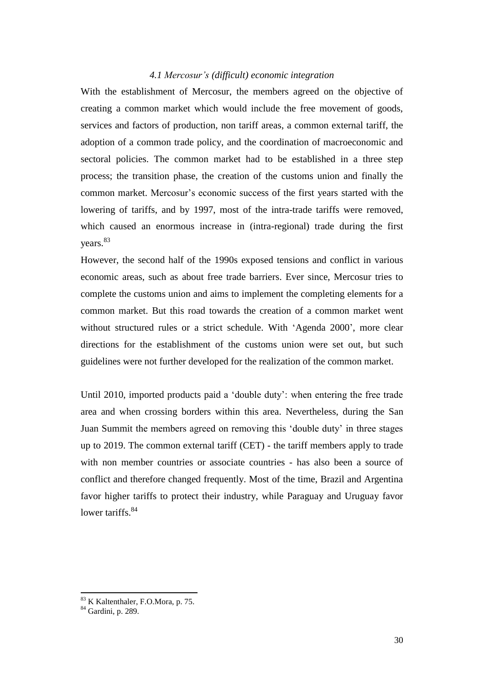#### *4.1 Mercosur's (difficult) economic integration*

With the establishment of Mercosur, the members agreed on the objective of creating a common market which would include the free movement of goods, services and factors of production, non tariff areas, a common external tariff, the adoption of a common trade policy, and the coordination of macroeconomic and sectoral policies. The common market had to be established in a three step process; the transition phase, the creation of the customs union and finally the common market. Mercosur's economic success of the first years started with the lowering of tariffs, and by 1997, most of the intra-trade tariffs were removed, which caused an enormous increase in (intra-regional) trade during the first years. 83

However, the second half of the 1990s exposed tensions and conflict in various economic areas, such as about free trade barriers. Ever since, Mercosur tries to complete the customs union and aims to implement the completing elements for a common market. But this road towards the creation of a common market went without structured rules or a strict schedule. With 'Agenda 2000', more clear directions for the establishment of the customs union were set out, but such guidelines were not further developed for the realization of the common market.

Until 2010, imported products paid a 'double duty': when entering the free trade area and when crossing borders within this area. Nevertheless, during the San Juan Summit the members agreed on removing this 'double duty' in three stages up to 2019. The common external tariff (CET) - the tariff members apply to trade with non member countries or associate countries - has also been a source of conflict and therefore changed frequently. Most of the time, Brazil and Argentina favor higher tariffs to protect their industry, while Paraguay and Uruguay favor lower tariffs.<sup>84</sup>

<sup>&</sup>lt;sup>83</sup> K Kaltenthaler, F.O.Mora, p. 75.

<sup>84</sup> Gardini, p. 289.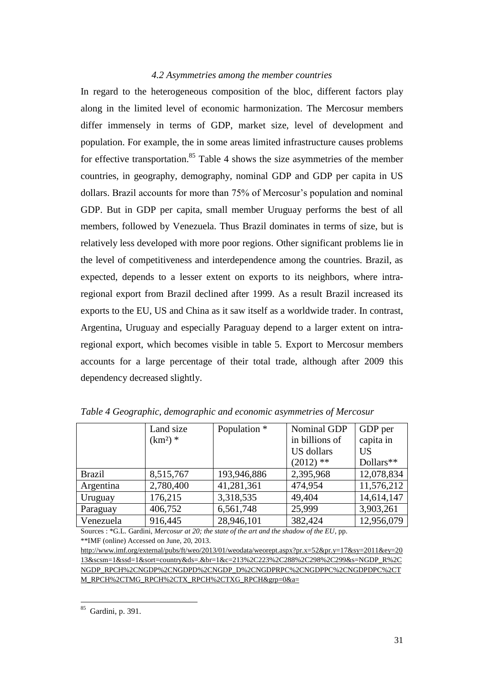#### *4.2 Asymmetries among the member countries*

In regard to the heterogeneous composition of the bloc, different factors play along in the limited level of economic harmonization. The Mercosur members differ immensely in terms of GDP, market size, level of development and population. For example, the in some areas limited infrastructure causes problems for effective transportation.<sup>85</sup> Table 4 shows the size asymmetries of the member countries, in geography, demography, nominal GDP and GDP per capita in US dollars. Brazil accounts for more than 75% of Mercosur's population and nominal GDP. But in GDP per capita, small member Uruguay performs the best of all members, followed by Venezuela. Thus Brazil dominates in terms of size, but is relatively less developed with more poor regions. Other significant problems lie in the level of competitiveness and interdependence among the countries. Brazil, as expected, depends to a lesser extent on exports to its neighbors, where intraregional export from Brazil declined after 1999. As a result Brazil increased its exports to the EU, US and China as it saw itself as a worldwide trader. In contrast, Argentina, Uruguay and especially Paraguay depend to a larger extent on intraregional export, which becomes visible in table 5. Export to Mercosur members accounts for a large percentage of their total trade, although after 2009 this dependency decreased slightly.

|               | Land size<br>$(km^2)$ * | Population * | <b>Nominal GDP</b><br>in billions of<br>US dollars<br>$(2012)$ ** | GDP per<br>capita in<br>US<br>Dollars** |
|---------------|-------------------------|--------------|-------------------------------------------------------------------|-----------------------------------------|
| <b>Brazil</b> | 8,515,767               | 193,946,886  | 2,395,968                                                         | 12,078,834                              |
| Argentina     | 2,780,400               | 41,281,361   | 474,954                                                           | 11,576,212                              |
| Uruguay       | 176,215                 | 3,318,535    | 49,404                                                            | 14,614,147                              |
| Paraguay      | 406,752                 | 6,561,748    | 25,999                                                            | 3,903,261                               |
| Venezuela     | 916,445                 | 28,946,101   | 382,424                                                           | 12,956,079                              |

*Table 4 Geographic, demographic and economic asymmetries of Mercosur*

Sources : \*G.L. Gardini, *Mercosur at 20; the state of the art and the shadow of the EU*, pp. \*\*IMF (online) Accessed on June, 20, 2013.

[http://www.imf.org/external/pubs/ft/weo/2013/01/weodata/weorept.aspx?pr.x=52&pr.y=17&sy=2011&ey=20](http://www.imf.org/external/pubs/ft/weo/2013/01/weodata/weorept.aspx?pr.x=52&pr.y=17&sy=2011&ey=2013&scsm=1&ssd=1&sort=country&ds=.&br=1&c=213%2C223%2C288%2C298%2C299&s=NGDP_R%2CNGDP_RPCH%2CNGDP%2CNGDPD%2CNGDP_D%2CNGDPRPC%2CNGDPPC%2CNGDPDPC%2CTM_RPCH%2CTMG_RPCH%2CTX_RPCH%2CTXG_RPCH&grp=0&a=) [13&scsm=1&ssd=1&sort=country&ds=.&br=1&c=213%2C223%2C288%2C298%2C299&s=NGDP\\_R%2C](http://www.imf.org/external/pubs/ft/weo/2013/01/weodata/weorept.aspx?pr.x=52&pr.y=17&sy=2011&ey=2013&scsm=1&ssd=1&sort=country&ds=.&br=1&c=213%2C223%2C288%2C298%2C299&s=NGDP_R%2CNGDP_RPCH%2CNGDP%2CNGDPD%2CNGDP_D%2CNGDPRPC%2CNGDPPC%2CNGDPDPC%2CTM_RPCH%2CTMG_RPCH%2CTX_RPCH%2CTXG_RPCH&grp=0&a=) [NGDP\\_RPCH%2CNGDP%2CNGDPD%2CNGDP\\_D%2CNGDPRPC%2CNGDPPC%2CNGDPDPC%2CT](http://www.imf.org/external/pubs/ft/weo/2013/01/weodata/weorept.aspx?pr.x=52&pr.y=17&sy=2011&ey=2013&scsm=1&ssd=1&sort=country&ds=.&br=1&c=213%2C223%2C288%2C298%2C299&s=NGDP_R%2CNGDP_RPCH%2CNGDP%2CNGDPD%2CNGDP_D%2CNGDPRPC%2CNGDPPC%2CNGDPDPC%2CTM_RPCH%2CTMG_RPCH%2CTX_RPCH%2CTXG_RPCH&grp=0&a=) [M\\_RPCH%2CTMG\\_RPCH%2CTX\\_RPCH%2CTXG\\_RPCH&grp=0&a=](http://www.imf.org/external/pubs/ft/weo/2013/01/weodata/weorept.aspx?pr.x=52&pr.y=17&sy=2011&ey=2013&scsm=1&ssd=1&sort=country&ds=.&br=1&c=213%2C223%2C288%2C298%2C299&s=NGDP_R%2CNGDP_RPCH%2CNGDP%2CNGDPD%2CNGDP_D%2CNGDPRPC%2CNGDPPC%2CNGDPDPC%2CTM_RPCH%2CTMG_RPCH%2CTX_RPCH%2CTXG_RPCH&grp=0&a=) 

 85 Gardini, p. 391.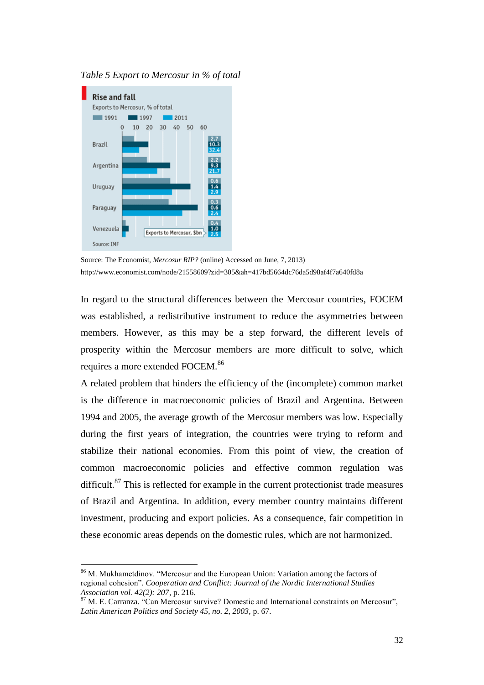

*Table 5 Export to Mercosur in % of total*

Source: The Economist, *Mercosur RIP?* (online) Accessed on June, 7, 2013) <http://www.economist.com/node/21558609?zid=305&ah=417bd5664dc76da5d98af4f7a640fd8a>

In regard to the structural differences between the Mercosur countries, FOCEM was established, a redistributive instrument to reduce the asymmetries between members. However, as this may be a step forward, the different levels of prosperity within the Mercosur members are more difficult to solve, which requires a more extended FOCEM.<sup>86</sup>

A related problem that hinders the efficiency of the (incomplete) common market is the difference in macroeconomic policies of Brazil and Argentina. Between 1994 and 2005, the average growth of the Mercosur members was low. Especially during the first years of integration, the countries were trying to reform and stabilize their national economies. From this point of view, the creation of common macroeconomic policies and effective common regulation was difficult.<sup>87</sup> This is reflected for example in the current protectionist trade measures of Brazil and Argentina. In addition, every member country maintains different investment, producing and export policies. As a consequence, fair competition in these economic areas depends on the domestic rules, which are not harmonized.

<sup>&</sup>lt;sup>86</sup> M. Mukhametdinov. "Mercosur and the European Union: Variation among the factors of regional cohesion". *Cooperation and Conflict: Journal of the Nordic International Studies Association vol. 42(2): 207*, p. 216.

<sup>&</sup>lt;sup>87</sup> M. E. Carranza. "Can Mercosur survive? Domestic and International constraints on Mercosur", *Latin American Politics and Society 45, no. 2, 2003,* p. 67.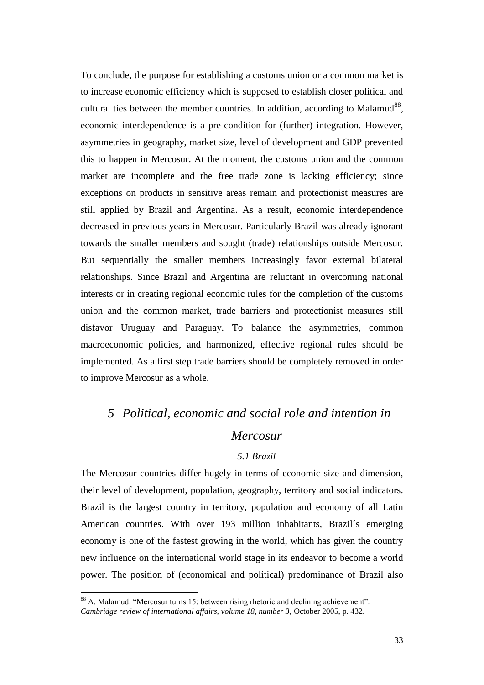To conclude, the purpose for establishing a customs union or a common market is to increase [economic efficiency](http://en.wikipedia.org/wiki/Economic_efficiency) which is supposed to establish closer political and cultural ties between the member countries. In addition, according to Malamud $^{88}$ , economic interdependence is a pre-condition for (further) integration. However, asymmetries in geography, market size, level of development and GDP prevented this to happen in Mercosur. At the moment, the customs union and the common market are incomplete and the free trade zone is lacking efficiency; since exceptions on products in sensitive areas remain and protectionist measures are still applied by Brazil and Argentina. As a result, economic interdependence decreased in previous years in Mercosur. Particularly Brazil was already ignorant towards the smaller members and sought (trade) relationships outside Mercosur. But sequentially the smaller members increasingly favor external bilateral relationships. Since Brazil and Argentina are reluctant in overcoming national interests or in creating regional economic rules for the completion of the customs union and the common market, trade barriers and protectionist measures still disfavor Uruguay and Paraguay. To balance the asymmetries, common macroeconomic policies, and harmonized, effective regional rules should be implemented. As a first step trade barriers should be completely removed in order to improve Mercosur as a whole.

## *5 Political, economic and social role and intention in Mercosur*

#### *5.1 Brazil*

The Mercosur countries differ hugely in terms of economic size and dimension, their level of development, population, geography, territory and social indicators. Brazil is the largest country in territory, population and economy of all Latin American countries. With over 193 million inhabitants, Brazil´s emerging economy is one of the fastest growing in the world, which has given the country new influence on the international world stage in its endeavor to become a world power. The position of (economical and political) predominance of Brazil also

<sup>&</sup>lt;sup>88</sup> A. Malamud. "Mercosur turns 15: between rising rhetoric and declining achievement".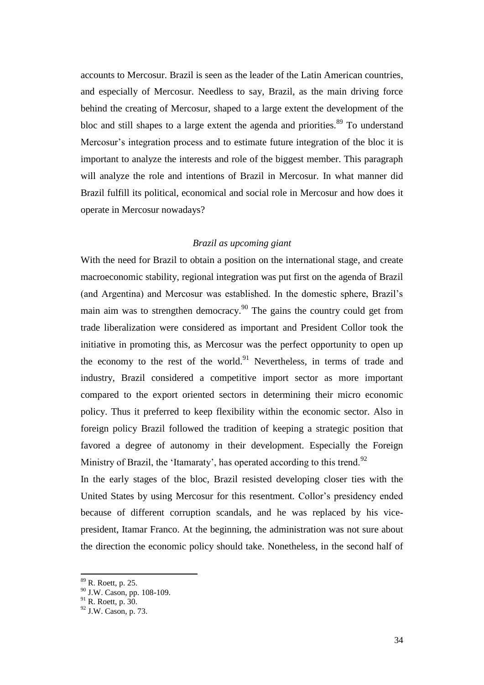accounts to Mercosur. Brazil is seen as the leader of the Latin American countries, and especially of Mercosur. Needless to say, Brazil, as the main driving force behind the creating of Mercosur, shaped to a large extent the development of the bloc and still shapes to a large extent the agenda and priorities.<sup>89</sup> To understand Mercosur's integration process and to estimate future integration of the bloc it is important to analyze the interests and role of the biggest member. This paragraph will analyze the role and intentions of Brazil in Mercosur. In what manner did Brazil fulfill its political, economical and social role in Mercosur and how does it operate in Mercosur nowadays?

#### *Brazil as upcoming giant*

With the need for Brazil to obtain a position on the international stage, and create macroeconomic stability, regional integration was put first on the agenda of Brazil (and Argentina) and Mercosur was established. In the domestic sphere, Brazil's main aim was to strengthen democracy.<sup>90</sup> The gains the country could get from trade liberalization were considered as important and President Collor took the initiative in promoting this, as Mercosur was the perfect opportunity to open up the economy to the rest of the world.<sup>91</sup> Nevertheless, in terms of trade and industry, Brazil considered a competitive import sector as more important compared to the export oriented sectors in determining their micro economic policy. Thus it preferred to keep flexibility within the economic sector. Also in foreign policy Brazil followed the tradition of keeping a strategic position that favored a degree of autonomy in their development. Especially the Foreign Ministry of Brazil, the 'Itamaraty', has operated according to this trend.<sup>92</sup>

In the early stages of the bloc, Brazil resisted developing closer ties with the United States by using Mercosur for this resentment. Collor's presidency ended because of different corruption scandals, and he was replaced by his vicepresident, Itamar Franco. At the beginning, the administration was not sure about the direction the economic policy should take. Nonetheless, in the second half of

<sup>89</sup> R. Roett, p. 25.

<sup>90</sup> J.W. Cason, pp. 108-109.

<sup>91</sup> R. Roett, p. 30.

 $92$  J.W. Cason, p. 73.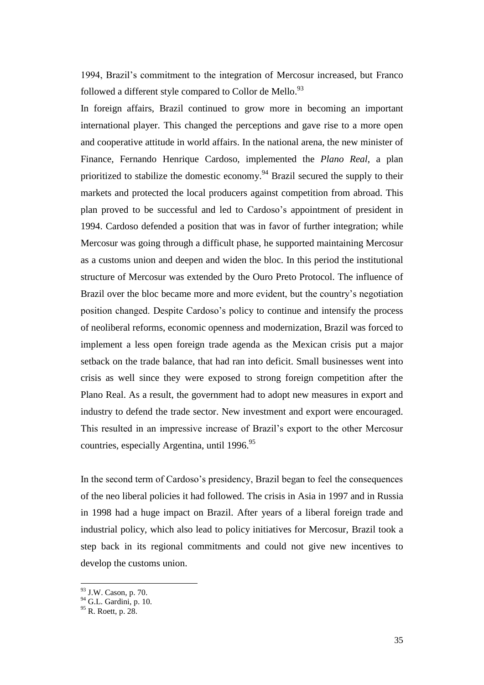1994, Brazil's commitment to the integration of Mercosur increased, but Franco followed a different style compared to Collor de Mello.<sup>93</sup>

In foreign affairs, Brazil continued to grow more in becoming an important international player. This changed the perceptions and gave rise to a more open and cooperative attitude in world affairs. In the national arena, the new minister of Finance, Fernando Henrique Cardoso, implemented the *Plano Real*, a plan prioritized to stabilize the domestic economy.<sup>94</sup> Brazil secured the supply to their markets and protected the local producers against competition from abroad. This plan proved to be successful and led to Cardoso's appointment of president in 1994. Cardoso defended a position that was in favor of further integration; while Mercosur was going through a difficult phase, he supported maintaining Mercosur as a customs union and deepen and widen the bloc. In this period the institutional structure of Mercosur was extended by the Ouro Preto Protocol. The influence of Brazil over the bloc became more and more evident, but the country's negotiation position changed. Despite Cardoso's policy to continue and intensify the process of neoliberal reforms, economic openness and modernization, Brazil was forced to implement a less open foreign trade agenda as the Mexican crisis put a major setback on the trade balance, that had ran into deficit. Small businesses went into crisis as well since they were exposed to strong foreign competition after the Plano Real. As a result, the government had to adopt new measures in export and industry to defend the trade sector. New investment and export were encouraged. This resulted in an impressive increase of Brazil's export to the other Mercosur countries, especially Argentina, until  $1996$ .<sup>95</sup>

In the second term of Cardoso's presidency, Brazil began to feel the consequences of the neo liberal policies it had followed. The crisis in Asia in 1997 and in Russia in 1998 had a huge impact on Brazil. After years of a liberal foreign trade and industrial policy, which also lead to policy initiatives for Mercosur, Brazil took a step back in its regional commitments and could not give new incentives to develop the customs union.

<sup>&</sup>lt;sup>93</sup> J.W. Cason, p. 70.

 $94$  G.L. Gardini, p. 10.

<sup>&</sup>lt;sup>95</sup> R. Roett, p. 28.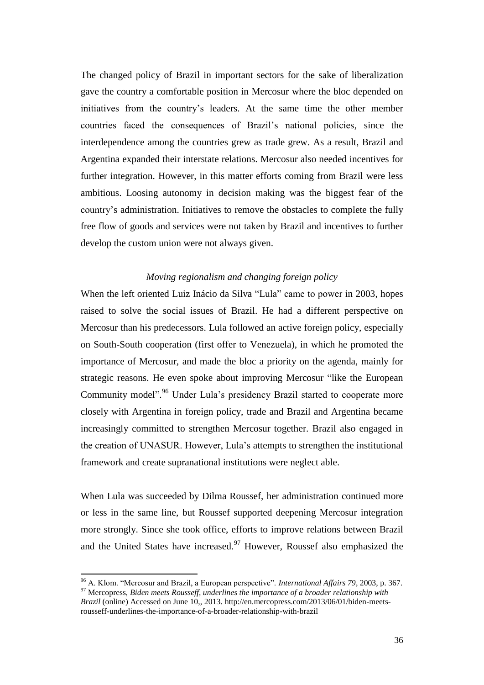The changed policy of Brazil in important sectors for the sake of liberalization gave the country a comfortable position in Mercosur where the bloc depended on initiatives from the country's leaders. At the same time the other member countries faced the consequences of Brazil's national policies, since the interdependence among the countries grew as trade grew. As a result, Brazil and Argentina expanded their interstate relations. Mercosur also needed incentives for further integration. However, in this matter efforts coming from Brazil were less ambitious. Loosing autonomy in decision making was the biggest fear of the country's administration. Initiatives to remove the obstacles to complete the fully free flow of goods and services were not taken by Brazil and incentives to further develop the custom union were not always given.

#### *Moving regionalism and changing foreign policy*

When the left oriented Luiz Inácio da Silva "Lula" came to power in 2003, hopes raised to solve the social issues of Brazil. He had a different perspective on Mercosur than his predecessors. Lula followed an active foreign policy, especially on South-South cooperation (first offer to Venezuela), in which he promoted the importance of Mercosur, and made the bloc a priority on the agenda, mainly for strategic reasons. He even spoke about improving Mercosur "like the European Community model".<sup>96</sup> Under Lula's presidency Brazil started to cooperate more closely with Argentina in foreign policy, trade and Brazil and Argentina became increasingly committed to strengthen Mercosur together. Brazil also engaged in the creation of UNASUR. However, Lula's attempts to strengthen the institutional framework and create supranational institutions were neglect able.

When Lula was succeeded by Dilma Roussef, her administration continued more or less in the same line, but Roussef supported deepening Mercosur integration more strongly. Since she took office, efforts to improve relations between Brazil and the United States have increased.<sup>97</sup> However, Roussef also emphasized the

<sup>96</sup> A. Klom. "Mercosur and Brazil, a European perspective". *International Affairs 79*, 2003, p. 367. <sup>97</sup> Mercopress, *Biden meets Rousseff, underlines the importance of a broader relationship with* 

*Brazil* (online) Accessed on June 10,, 2013. [http://en.mercopress.com/2013/06/01/biden-meets](http://en.mercopress.com/2013/06/01/biden-meets-rousseff-underlines-the-importance-of-a-broader-relationship-with-brazil)[rousseff-underlines-the-importance-of-a-broader-relationship-with-brazil](http://en.mercopress.com/2013/06/01/biden-meets-rousseff-underlines-the-importance-of-a-broader-relationship-with-brazil)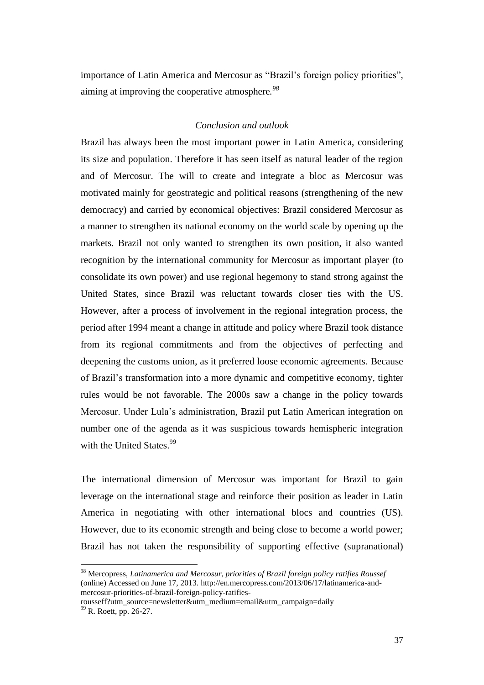importance of Latin America and Mercosur as "Brazil's foreign policy priorities", aiming at improving the cooperative atmosphere*. 98*

#### *Conclusion and outlook*

Brazil has always been the most important power in Latin America, considering its size and population. Therefore it has seen itself as natural leader of the region and of Mercosur. The will to create and integrate a bloc as Mercosur was motivated mainly for geostrategic and political reasons (strengthening of the new democracy) and carried by economical objectives: Brazil considered Mercosur as a manner to strengthen its national economy on the world scale by opening up the markets. Brazil not only wanted to strengthen its own position, it also wanted recognition by the international community for Mercosur as important player (to consolidate its own power) and use regional hegemony to stand strong against the United States, since Brazil was reluctant towards closer ties with the US. However, after a process of involvement in the regional integration process, the period after 1994 meant a change in attitude and policy where Brazil took distance from its regional commitments and from the objectives of perfecting and deepening the customs union, as it preferred loose economic agreements. Because of Brazil's transformation into a more dynamic and competitive economy, tighter rules would be not favorable. The 2000s saw a change in the policy towards Mercosur. Under Lula's administration, Brazil put Latin American integration on number one of the agenda as it was suspicious towards hemispheric integration with the United States.<sup>99</sup>

The international dimension of Mercosur was important for Brazil to gain leverage on the international stage and reinforce their position as leader in Latin America in negotiating with other international blocs and countries (US). However, due to its economic strength and being close to become a world power; Brazil has not taken the responsibility of supporting effective (supranational)

<sup>98</sup> Mercopress, *Latinamerica and Mercosur, priorities of Brazil foreign policy ratifies Roussef*  (online) Accessed on June 17, 2013. [http://en.mercopress.com/2013/06/17/latinamerica-and](http://en.mercopress.com/2013/06/17/latinamerica-and-mercosur-priorities-of-brazil-foreign-policy-ratifies-rousseff?utm_source=newsletter&utm_medium=email&utm_campaign=daily)[mercosur-priorities-of-brazil-foreign-policy-ratifies-](http://en.mercopress.com/2013/06/17/latinamerica-and-mercosur-priorities-of-brazil-foreign-policy-ratifies-rousseff?utm_source=newsletter&utm_medium=email&utm_campaign=daily)

[rousseff?utm\\_source=newsletter&utm\\_medium=email&utm\\_campaign=daily](http://en.mercopress.com/2013/06/17/latinamerica-and-mercosur-priorities-of-brazil-foreign-policy-ratifies-rousseff?utm_source=newsletter&utm_medium=email&utm_campaign=daily) <sup>99</sup> R. Roett, pp. 26-27.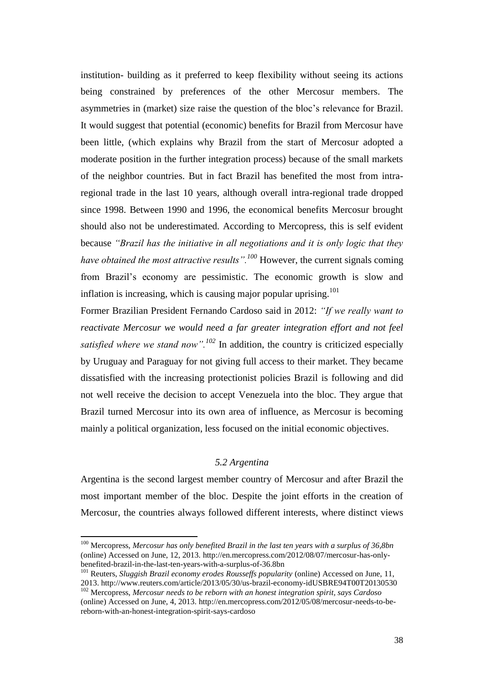institution- building as it preferred to keep flexibility without seeing its actions being constrained by preferences of the other Mercosur members. The asymmetries in (market) size raise the question of the bloc's relevance for Brazil. It would suggest that potential (economic) benefits for Brazil from Mercosur have been little, (which explains why Brazil from the start of Mercosur adopted a moderate position in the further integration process) because of the small markets of the neighbor countries. But in fact Brazil has benefited the most from intraregional trade in the last 10 years, although overall intra-regional trade dropped since 1998. Between 1990 and 1996, the economical benefits Mercosur brought should also not be underestimated. According to Mercopress, this is self evident because *"Brazil has the initiative in all negotiations and it is only logic that they have obtained the most attractive results".<sup>100</sup>* However, the current signals coming from Brazil's economy are pessimistic. The economic growth is slow and inflation is increasing, which is causing major popular uprising.<sup>101</sup>

Former Brazilian President Fernando Cardoso said in 2012: *"If we really want to reactivate Mercosur we would need a far greater integration effort and not feel satisfied where we stand now".<sup>102</sup>* In addition, the country is criticized especially by Uruguay and Paraguay for not giving full access to their market. They became dissatisfied with the increasing protectionist policies Brazil is following and did not well receive the decision to accept Venezuela into the bloc. They argue that Brazil turned Mercosur into its own area of influence, as Mercosur is becoming mainly a political organization, less focused on the initial economic objectives.

#### *5.2 Argentina*

[Argentina](http://www.argentour.com/) is the second largest member country of Mercosur and after Brazil the most important member of the bloc. Despite the joint efforts in the creation of Mercosur, the countries always followed different interests, where distinct views

<sup>100</sup> Mercopress, *Mercosur has only benefited Brazil in the last ten years with a surplus of 36,8bn*  (online) Accessed on June, 12, 2013. [http://en.mercopress.com/2012/08/07/mercosur-has-only](http://en.mercopress.com/2012/08/07/mercosur-has-only-benefited-brazil-in-the-last-ten-years-with-a-surplus-of-36.8bn)[benefited-brazil-in-the-last-ten-years-with-a-surplus-of-36.8bn](http://en.mercopress.com/2012/08/07/mercosur-has-only-benefited-brazil-in-the-last-ten-years-with-a-surplus-of-36.8bn)

<sup>101</sup> Reuters, *Sluggish Brazil economy erodes Rousseffs popularity* (online) Accessed on June, 11, 2013. <http://www.reuters.com/article/2013/05/30/us-brazil-economy-idUSBRE94T00T20130530>

<sup>102</sup> Mercopress, *Mercosur needs to be reborn with an honest integration spirit, says Cardoso*  (online) Accessed on June, 4, 2013. [http://en.mercopress.com/2012/05/08/mercosur-needs-to-be](http://en.mercopress.com/2012/05/08/mercosur-needs-to-be-reborn-with-an-honest-integration-spirit-says-cardoso)[reborn-with-an-honest-integration-spirit-says-cardoso](http://en.mercopress.com/2012/05/08/mercosur-needs-to-be-reborn-with-an-honest-integration-spirit-says-cardoso)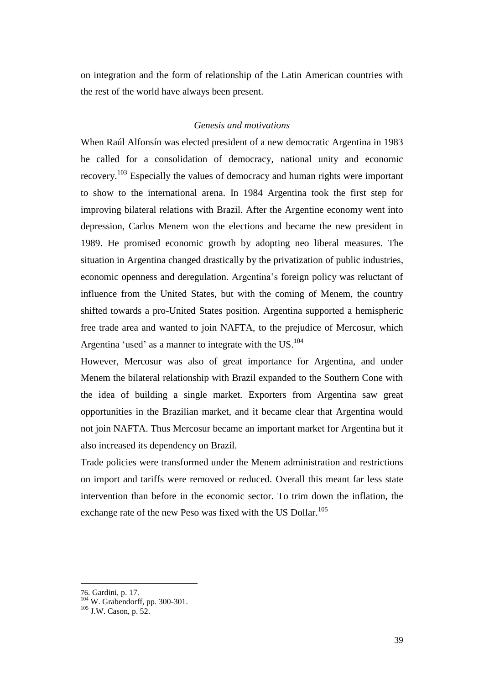on integration and the form of relationship of the Latin American countries with the rest of the world have always been present.

#### *Genesis and motivations*

When Raúl Alfonsín was elected president of a new democratic Argentina in 1983 he called for a consolidation of democracy, national unity and economic recovery.<sup>103</sup> Especially the values of democracy and human rights were important to show to the international arena. In 1984 Argentina took the first step for improving bilateral relations with Brazil. After the Argentine economy went into depression, Carlos Menem won the elections and became the new president in 1989. He promised economic growth by adopting neo liberal measures. The situation in Argentina changed drastically by the privatization of public industries, economic openness and deregulation. Argentina's foreign policy was reluctant of influence from the United States, but with the coming of Menem, the country shifted towards a pro-United States position. Argentina supported a hemispheric free trade area and wanted to join NAFTA, to the prejudice of Mercosur, which Argentina 'used' as a manner to integrate with the  $US$ .<sup>104</sup>

However, Mercosur was also of great importance for Argentina, and under Menem the bilateral relationship with Brazil expanded to the Southern Cone with the idea of building a single market. Exporters from Argentina saw great opportunities in the Brazilian market, and it became clear that Argentina would not join NAFTA. Thus Mercosur became an important market for Argentina but it also increased its dependency on Brazil.

Trade policies were transformed under the Menem administration and restrictions on import and tariffs were removed or reduced. Overall this meant far less state intervention than before in the economic sector. To trim down the inflation, the exchange rate of the new Peso was fixed with the US Dollar.<sup>105</sup>

76. Gardini, p. 17.

<sup>&</sup>lt;sup>104</sup> W. Grabendorff, pp. 300-301.

 $105$  J.W. Cason, p. 52.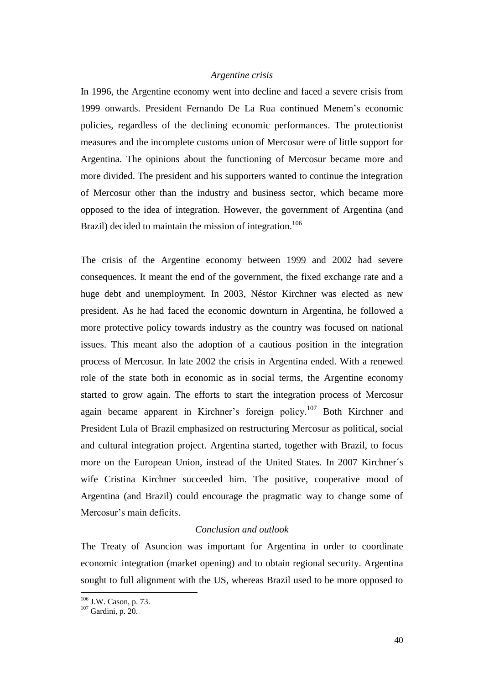#### *Argentine crisis*

In 1996, the Argentine economy went into decline and faced a severe crisis from 1999 onwards. President Fernando De La Rua continued Menem's economic policies, regardless of the declining economic performances. The protectionist measures and the incomplete customs union of Mercosur were of little support for Argentina. The opinions about the functioning of Mercosur became more and more divided. The president and his supporters wanted to continue the integration of Mercosur other than the industry and business sector, which became more opposed to the idea of integration. However, the government of Argentina (and Brazil) decided to maintain the mission of integration.<sup>106</sup>

The crisis of the Argentine economy between 1999 and 2002 had severe consequences. It meant the end of the government, the fixed exchange rate and a huge debt and unemployment. In 2003, Néstor Kirchner was elected as new president. As he had faced the economic downturn in Argentina, he followed a more protective policy towards industry as the country was focused on national issues. This meant also the adoption of a cautious position in the integration process of Mercosur. In late 2002 the crisis in Argentina ended. With a renewed role of the state both in economic as in social terms, the Argentine economy started to grow again. The efforts to start the integration process of Mercosur again became apparent in Kirchner's foreign policy.<sup>107</sup> Both Kirchner and President Lula of Brazil emphasized on restructuring Mercosur as political, social and cultural integration project. Argentina started, together with Brazil, to focus more on the European Union, instead of the United States. In 2007 Kirchner´s wife Cristina Kirchner succeeded him. The positive, cooperative mood of Argentina (and Brazil) could encourage the pragmatic way to change some of Mercosur's main deficits.

#### *Conclusion and outlook*

The Treaty of Asuncion was important for Argentina in order to coordinate economic integration (market opening) and to obtain regional security. Argentina sought to full alignment with the US, whereas Brazil used to be more opposed to

<sup>106</sup> J.W. Cason, p. 73.

<sup>107</sup> Gardini, p. 20.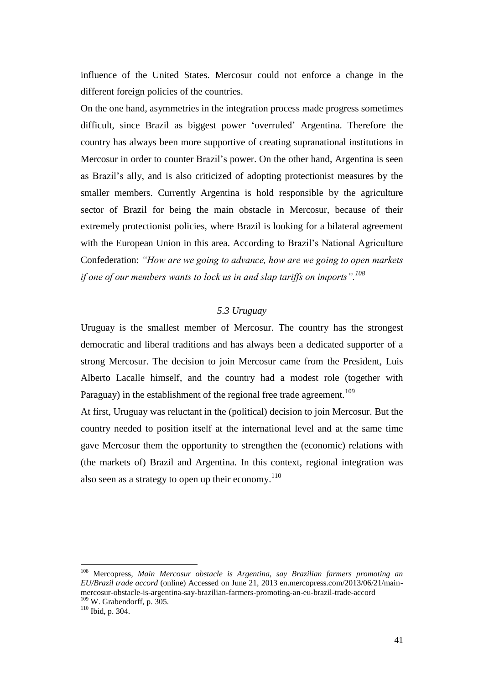influence of the United States. Mercosur could not enforce a change in the different foreign policies of the countries.

On the one hand, asymmetries in the integration process made progress sometimes difficult, since Brazil as biggest power 'overruled' Argentina. Therefore the country has always been more supportive of creating supranational institutions in Mercosur in order to counter Brazil's power. On the other hand, Argentina is seen as Brazil's ally, and is also criticized of adopting protectionist measures by the smaller members. Currently Argentina is hold responsible by the agriculture sector of Brazil for being the main obstacle in Mercosur, because of their extremely protectionist policies, where Brazil is looking for a bilateral agreement with the European Union in this area. According to Brazil's National Agriculture Confederation: *"How are we going to advance, how are we going to open markets if one of our members wants to lock us in and slap tariffs on imports".<sup>108</sup>*

#### *5.3 Uruguay*

Uruguay is the smallest member of Mercosur. The country has the strongest democratic and liberal traditions and has always been a dedicated supporter of a strong Mercosur. The decision to join Mercosur came from the President, Luis Alberto Lacalle himself, and the country had a modest role (together with Paraguay) in the establishment of the regional free trade agreement.<sup>109</sup>

At first, Uruguay was reluctant in the (political) decision to join Mercosur. But the country needed to position itself at the international level and at the same time gave Mercosur them the opportunity to strengthen the (economic) relations with (the markets of) Brazil and Argentina. In this context, regional integration was also seen as a strategy to open up their economy. $110$ 

<sup>108</sup> Mercopress, *Main Mercosur obstacle is Argentina, say Brazilian farmers promoting an EU/Brazil trade accord* (online) Accessed on June 21, 2013 en.mercopress.com/2013/06/21/mainmercosur-obstacle-is-argentina-say-brazilian-farmers-promoting-an-eu-brazil-trade-accord  $109$  W. Grabendorff, p. 305.

<sup>110</sup> Ibid, p. 304.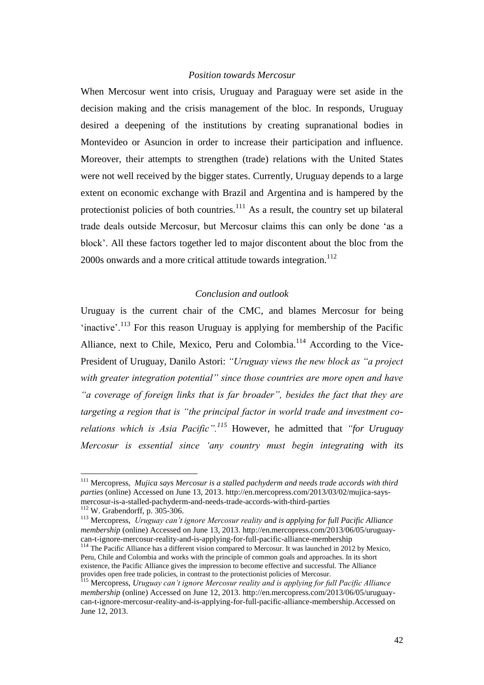#### *Position towards Mercosur*

When Mercosur went into crisis, Uruguay and Paraguay were set aside in the decision making and the crisis management of the bloc. In responds, Uruguay desired a deepening of the institutions by creating supranational bodies in Montevideo or Asuncion in order to increase their participation and influence. Moreover, their attempts to strengthen (trade) relations with the United States were not well received by the bigger states. Currently, Uruguay depends to a large extent on economic exchange with Brazil and Argentina and is hampered by the protectionist policies of both countries.<sup>111</sup> As a result, the country set up bilateral trade deals outside Mercosur, but Mercosur claims this can only be done 'as a block'. All these factors together led to major discontent about the bloc from the 2000s onwards and a more critical attitude towards integration.<sup>112</sup>

#### *Conclusion and outlook*

Uruguay is the current chair of the CMC, and blames Mercosur for being 'inactive'.<sup>113</sup> For this reason Uruguay is applying for membership of the Pacific Alliance, next to Chile, Mexico, Peru and Colombia.<sup>114</sup> According to the Vice-President of Uruguay, Danilo Astori: *"Uruguay views the new block as "a project with greater integration potential" since those countries are more open and have "a coverage of foreign links that is far broader", besides the fact that they are targeting a region that is "the principal factor in world trade and investment corelations which is Asia Pacific".<sup>115</sup>* However, he admitted that *"for Uruguay Mercosur is essential since 'any country must begin integrating with its* 

<sup>111</sup> Mercopress, *Mujica says Mercosur is a stalled pachyderm and needs trade accords with third parties* (online) Accessed on June 13, 2013. [http://en.mercopress.com/2013/03/02/mujica-says](http://en.mercopress.com/2013/03/02/mujica-says-mercosur-is-a-stalled-pachyderm-and-needs-trade-accords-with-third-parties)[mercosur-is-a-stalled-pachyderm-and-needs-trade-accords-with-third-parties](http://en.mercopress.com/2013/03/02/mujica-says-mercosur-is-a-stalled-pachyderm-and-needs-trade-accords-with-third-parties) <sup>112</sup> W. Grabendorff, p. 305-306.

<sup>113</sup> Mercopress, *Uruguay can't ignore Mercosur reality and is applying for full Pacific Alliance membership* (online) Accessed on June 13, 2013. [http://en.mercopress.com/2013/06/05/uruguay](http://en.mercopress.com/2013/06/05/uruguay-can-t-ignore-mercosur-reality-and-is-applying-for-full-pacific-alliance-membership)[can-t-ignore-mercosur-reality-and-is-applying-for-full-pacific-alliance-membership](http://en.mercopress.com/2013/06/05/uruguay-can-t-ignore-mercosur-reality-and-is-applying-for-full-pacific-alliance-membership)

<sup>&</sup>lt;sup>114</sup> The Pacific Alliance has a different vision compared to Mercosur. It was launched in 2012 by Mexico, Peru, Chile and Colombia and works with the principle of common goals and approaches. In its short existence, the Pacific Alliance gives the impression to become effective and successful. The Alliance provides open free trade policies, in contrast to the protectionist policies of Mercosur.

<sup>115</sup> Mercopress, *Uruguay can't ignore Mercosur reality and is applying for full Pacific Alliance membership* (online) Accessed on June 12, 2013. [http://en.mercopress.com/2013/06/05/uruguay](http://en.mercopress.com/2013/06/05/uruguay-can-t-ignore-mercosur-reality-and-is-applying-for-full-pacific-alliance-membership)[can-t-ignore-mercosur-reality-and-is-applying-for-full-pacific-alliance-membership.](http://en.mercopress.com/2013/06/05/uruguay-can-t-ignore-mercosur-reality-and-is-applying-for-full-pacific-alliance-membership)Accessed on June 12, 2013.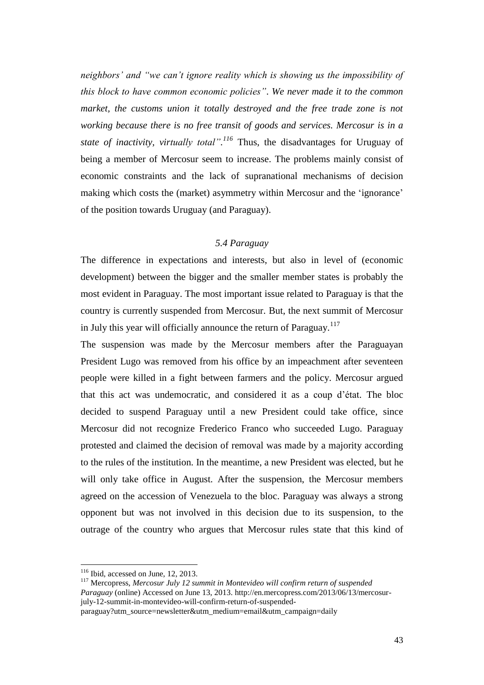*neighbors' and "we can't ignore reality which is showing us the impossibility of this block to have common economic policies"*. *We never made it to the common market, the customs union it totally destroyed and the free trade zone is not working because there is no free transit of goods and services. Mercosur is in a state of inactivity, virtually total". <sup>116</sup>* Thus, the disadvantages for Uruguay of being a member of Mercosur seem to increase. The problems mainly consist of economic constraints and the lack of supranational mechanisms of decision making which costs the (market) asymmetry within Mercosur and the 'ignorance' of the position towards Uruguay (and Paraguay).

#### *5.4 Paraguay*

The difference in expectations and interests, but also in level of (economic development) between the bigger and the smaller member states is probably the most evident in Paraguay. The most important issue related to Paraguay is that the country is currently suspended from Mercosur. But, the next summit of Mercosur in July this year will officially announce the return of Paraguay.<sup>117</sup>

The suspension was made by the Mercosur members after the Paraguayan President Lugo was removed from his office by an impeachment after seventeen people were killed in a fight between farmers and the policy. Mercosur argued that this act was undemocratic, and considered it as a coup d'état. The bloc decided to suspend Paraguay until a new President could take office, since Mercosur did not recognize Frederico Franco who succeeded Lugo. Paraguay protested and claimed the decision of removal was made by a majority according to the rules of the institution. In the meantime, a new President was elected, but he will only take office in August. After the suspension, the Mercosur members agreed on the accession of Venezuela to the bloc. Paraguay was always a strong opponent but was not involved in this decision due to its suspension, to the outrage of the country who argues that Mercosur rules state that this kind of

<sup>&</sup>lt;sup>116</sup> Ibid, accessed on June, 12, 2013.

<sup>117</sup> Mercopress, *Mercosur July 12 summit in Montevideo will confirm return of suspended Paraguay* (online) Accessed on June 13, 2013. [http://en.mercopress.com/2013/06/13/mercosur](http://en.mercopress.com/2013/06/13/mercosur-july-12-summit-in-montevideo-will-confirm-return-of-suspended-paraguay?utm_source=newsletter&utm_medium=email&utm_campaign=daily)[july-12-summit-in-montevideo-will-confirm-return-of-suspended-](http://en.mercopress.com/2013/06/13/mercosur-july-12-summit-in-montevideo-will-confirm-return-of-suspended-paraguay?utm_source=newsletter&utm_medium=email&utm_campaign=daily)

 $\frac{1}{2}$  paraguay?utm\_source=newsletter&utm\_medium=email&utm\_campaign=daily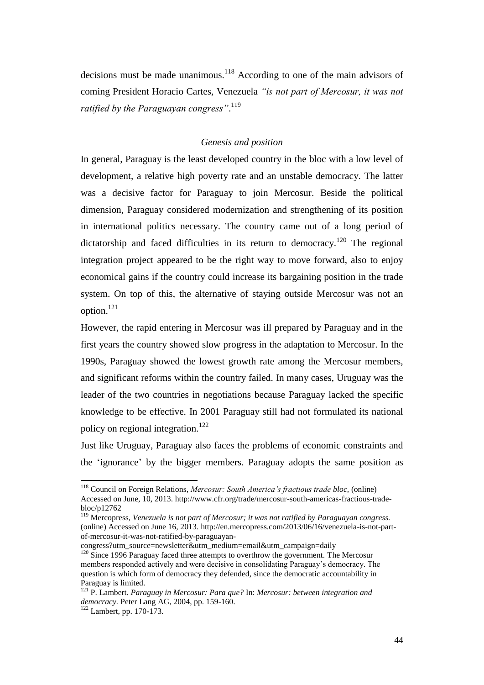decisions must be made unanimous.<sup>118</sup> According to one of the main advisors of coming President Horacio Cartes, Venezuela *"is not part of Mercosur, it was not ratified by the Paraguayan congress"*. 119

#### *Genesis and position*

In general, Paraguay is the least developed country in the bloc with a low level of development, a relative high poverty rate and an unstable democracy. The latter was a decisive factor for Paraguay to join Mercosur. Beside the political dimension, Paraguay considered modernization and strengthening of its position in international politics necessary. The country came out of a long period of dictatorship and faced difficulties in its return to democracy.<sup>120</sup> The regional integration project appeared to be the right way to move forward, also to enjoy economical gains if the country could increase its bargaining position in the trade system. On top of this, the alternative of staying outside Mercosur was not an option. 121

However, the rapid entering in Mercosur was ill prepared by Paraguay and in the first years the country showed slow progress in the adaptation to Mercosur. In the 1990s, Paraguay showed the lowest growth rate among the Mercosur members, and significant reforms within the country failed. In many cases, Uruguay was the leader of the two countries in negotiations because Paraguay lacked the specific knowledge to be effective. In 2001 Paraguay still had not formulated its national policy on regional integration.<sup>122</sup>

Just like Uruguay, Paraguay also faces the problems of economic constraints and the 'ignorance' by the bigger members. Paraguay adopts the same position as

<sup>118</sup> Council on Foreign Relations, *Mercosur: South America's fractious trade bloc,* (online) Accessed on June, 10, 2013. [http://www.cfr.org/trade/mercosur-south-americas-fractious-trade](http://www.cfr.org/trade/mercosur-south-americas-fractious-trade-bloc/p12762)[bloc/p12762](http://www.cfr.org/trade/mercosur-south-americas-fractious-trade-bloc/p12762)

<sup>119</sup> Mercopress, *Venezuela is not part of Mercosur; it was not ratified by Paraguayan congress.*  (online) Accessed on June 16, 2013. [http://en.mercopress.com/2013/06/16/venezuela-is-not-part](http://en.mercopress.com/2013/06/16/venezuela-is-not-part-of-mercosur-it-was-not-ratified-by-paraguayan-congress?utm_source=newsletter&utm_medium=email&utm_campaign=daily)[of-mercosur-it-was-not-ratified-by-paraguayan-](http://en.mercopress.com/2013/06/16/venezuela-is-not-part-of-mercosur-it-was-not-ratified-by-paraguayan-congress?utm_source=newsletter&utm_medium=email&utm_campaign=daily)

[congress?utm\\_source=newsletter&utm\\_medium=email&utm\\_campaign=daily](http://en.mercopress.com/2013/06/16/venezuela-is-not-part-of-mercosur-it-was-not-ratified-by-paraguayan-congress?utm_source=newsletter&utm_medium=email&utm_campaign=daily)  $120$  Since 1996 Paraguay faced three attempts to overthrow the government. The Mercosur members responded actively and were decisive in consolidating Paraguay's democracy. The question is which form of democracy they defended, since the democratic accountability in Paraguay is limited.

<sup>121</sup> P. Lambert. *Paraguay in Mercosur: Para que?* In: *Mercosur: between integration and democracy.* Peter Lang AG, 2004, pp. 159-160.

 $122$  Lambert, pp. 170-173.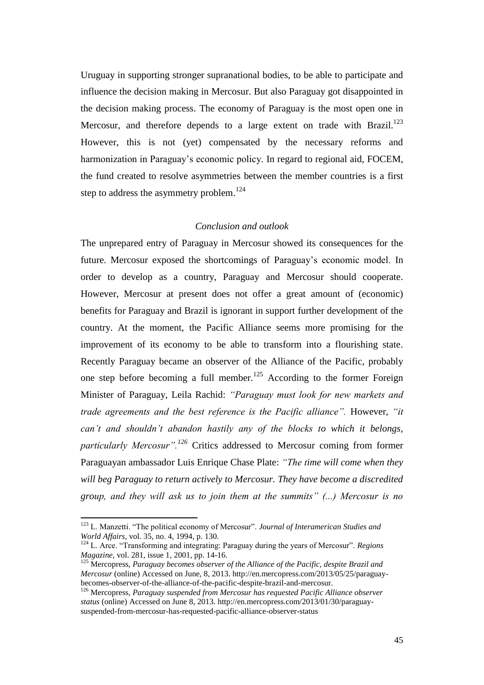Uruguay in supporting stronger supranational bodies, to be able to participate and influence the decision making in Mercosur. But also Paraguay got disappointed in the decision making process. The economy of Paraguay is the most open one in Mercosur, and therefore depends to a large extent on trade with Brazil.<sup>123</sup> However, this is not (yet) compensated by the necessary reforms and harmonization in Paraguay's economic policy. In regard to regional aid, FOCEM, the fund created to resolve asymmetries between the member countries is a first step to address the asymmetry problem.<sup>124</sup>

#### *Conclusion and outlook*

The unprepared entry of Paraguay in Mercosur showed its consequences for the future. Mercosur exposed the shortcomings of Paraguay's economic model. In order to develop as a country, Paraguay and Mercosur should cooperate. However, Mercosur at present does not offer a great amount of (economic) benefits for Paraguay and Brazil is ignorant in support further development of the country. At the moment, the Pacific Alliance seems more promising for the improvement of its economy to be able to transform into a flourishing state. Recently Paraguay became an observer of the Alliance of the Pacific, probably one step before becoming a full member.<sup>125</sup> According to the former Foreign Minister of Paraguay, Leila Rachid: *"Paraguay must look for new markets and trade agreements and the best reference is the Pacific alliance".* However, *"it can't and shouldn't abandon hastily any of the blocks to which it belongs, particularly Mercosur".<sup>126</sup>* Critics addressed to Mercosur coming from former Paraguayan ambassador Luis Enrique Chase Plate: *"The time will come when they will beg Paraguay to return actively to Mercosur. They have become a discredited group, and they will ask us to join them at the summits" (...) Mercosur is no* 

<sup>123</sup> L. Manzetti. "The political economy of Mercosur". *Journal of Interamerican Studies and World Affairs,* vol. 35, no. 4, 1994, p. 130.

<sup>124</sup> L. Arce. "Transforming and integrating: Paraguay during the years of Mercosur". *Regions Magazine,* vol. 281, issue 1*,* 2001, pp. 14-16.

<sup>125</sup> Mercopress, *Paraguay becomes observer of the Alliance of the Pacific, despite Brazil and Mercosur* (online) Accessed on June, 8, 2013. http://en.mercopress.com/2013/05/25/paraguaybecomes-observer-of-the-alliance-of-the-pacific-despite-brazil-and-mercosur.

<sup>126</sup> Mercopress, *Paraguay suspended from Mercosur has requested Pacific Alliance observer status* (online) Accessed on June 8, 2013. [http://en.mercopress.com/2013/01/30/paraguay](http://en.mercopress.com/2013/01/30/paraguay-suspended-from-mercosur-has-requested-pacific-alliance-observer-status)[suspended-from-mercosur-has-requested-pacific-alliance-observer-status](http://en.mercopress.com/2013/01/30/paraguay-suspended-from-mercosur-has-requested-pacific-alliance-observer-status)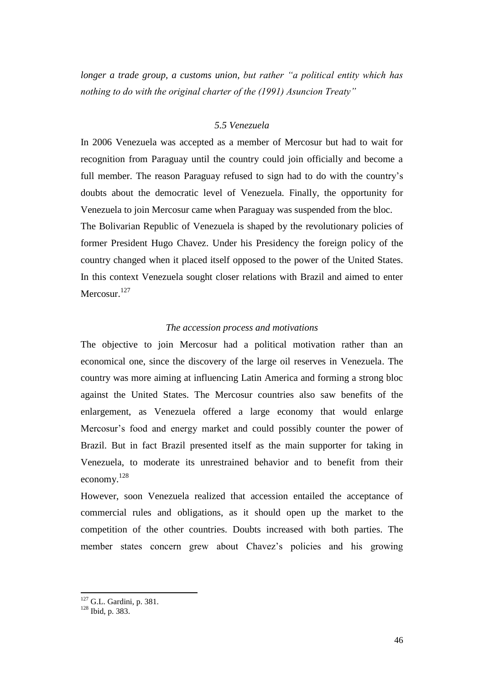*longer a trade group, a customs union, but rather "a political entity which has nothing to do with the original charter of the (1991) Asuncion Treaty"*

#### *5.5 Venezuela*

In 2006 Venezuela was accepted as a member of Mercosur but had to wait for recognition from Paraguay until the country could join officially and become a full member. The reason Paraguay refused to sign had to do with the country's doubts about the democratic level of Venezuela. Finally, the opportunity for Venezuela to join Mercosur came when Paraguay was suspended from the bloc. The Bolivarian Republic of Venezuela is shaped by the revolutionary policies of

former President Hugo Chavez. Under his Presidency the foreign policy of the country changed when it placed itself opposed to the power of the United States. In this context Venezuela sought closer relations with Brazil and aimed to enter Mercosur.<sup>127</sup>

#### *The accession process and motivations*

The objective to join Mercosur had a political motivation rather than an economical one, since the discovery of the large oil reserves in Venezuela. The country was more aiming at influencing Latin America and forming a strong bloc against the United States. The Mercosur countries also saw benefits of the enlargement, as Venezuela offered a large economy that would enlarge Mercosur's food and energy market and could possibly counter the power of Brazil. But in fact Brazil presented itself as the main supporter for taking in Venezuela, to moderate its unrestrained behavior and to benefit from their economy.<sup>128</sup>

However, soon Venezuela realized that accession entailed the acceptance of commercial rules and obligations, as it should open up the market to the competition of the other countries. Doubts increased with both parties. The member states concern grew about Chavez's policies and his growing

<sup>&</sup>lt;sup>127</sup> G.L. Gardini, p. 381.

 $128$  Ibid, p. 383.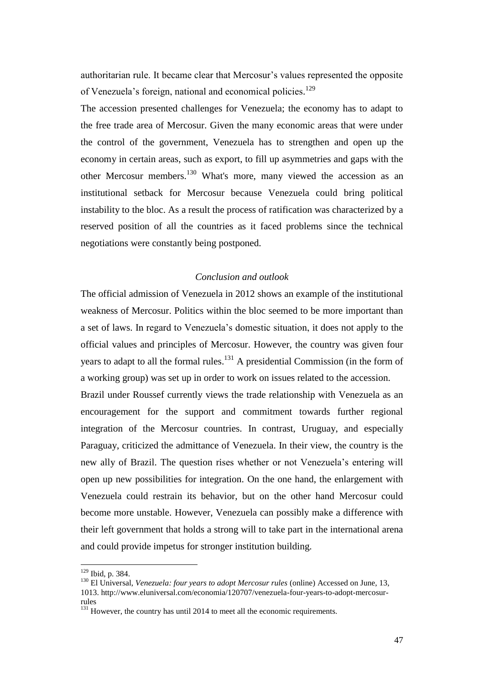authoritarian rule. It became clear that Mercosur's values represented the opposite of Venezuela's foreign, national and economical policies.<sup>129</sup>

The accession presented challenges for Venezuela; the economy has to adapt to the free trade area of Mercosur. Given the many economic areas that were under the control of the government, Venezuela has to strengthen and open up the economy in certain areas, such as export, to fill up asymmetries and gaps with the other Mercosur members.<sup>130</sup> What's more, many viewed the accession as an institutional setback for Mercosur because Venezuela could bring political instability to the bloc. As a result the process of ratification was characterized by a reserved position of all the countries as it faced problems since the technical negotiations were constantly being postponed.

#### *Conclusion and outlook*

The official admission of Venezuela in 2012 shows an example of the institutional weakness of Mercosur. Politics within the bloc seemed to be more important than a set of laws. In regard to Venezuela's domestic situation, it does not apply to the official values and principles of Mercosur. However, the country was given four years to adapt to all the formal rules.<sup>131</sup> A presidential Commission (in the form of a working group) was set up in order to work on issues related to the accession.

Brazil under Roussef currently views the trade relationship with Venezuela as an encouragement for the support and commitment towards further regional integration of the Mercosur countries. In contrast, Uruguay, and especially Paraguay, criticized the admittance of Venezuela. In their view, the country is the new ally of Brazil. The question rises whether or not Venezuela's entering will open up new possibilities for integration. On the one hand, the enlargement with Venezuela could restrain its behavior, but on the other hand Mercosur could become more unstable. However, Venezuela can possibly make a difference with their left government that holds a strong will to take part in the international arena and could provide impetus for stronger institution building.

<sup>&</sup>lt;sup>129</sup> Ibid, p. 384.

<sup>&</sup>lt;sup>130</sup> El Universal, *Venezuela: four years to adopt Mercosur rules* (online) Accessed on June, 13, 1013. [http://www.eluniversal.com/economia/120707/venezuela-four-years-to-adopt-mercosur](http://www.eluniversal.com/economia/120707/venezuela-four-years-to-adopt-mercosur-rules)[rules](http://www.eluniversal.com/economia/120707/venezuela-four-years-to-adopt-mercosur-rules) 

 $131$  However, the country has until 2014 to meet all the economic requirements.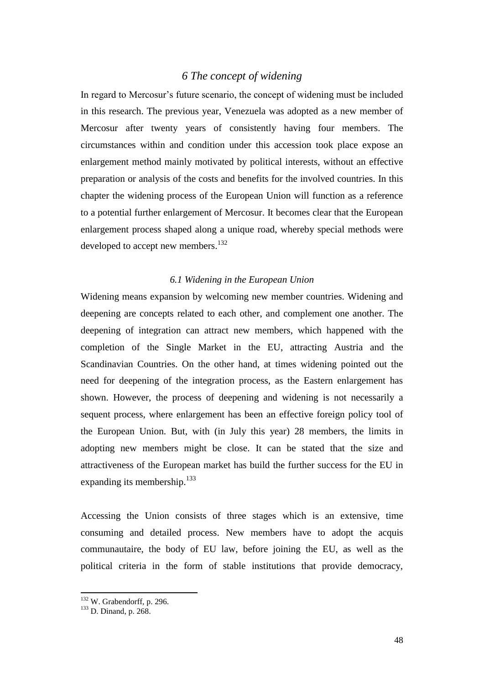### *6 The concept of widening*

In regard to Mercosur's future scenario, the concept of widening must be included in this research. The previous year, Venezuela was adopted as a new member of Mercosur after twenty years of consistently having four members. The circumstances within and condition under this accession took place expose an enlargement method mainly motivated by political interests, without an effective preparation or analysis of the costs and benefits for the involved countries. In this chapter the widening process of the European Union will function as a reference to a potential further enlargement of Mercosur. It becomes clear that the European enlargement process shaped along a unique road, whereby special methods were developed to accept new members.<sup>132</sup>

#### *6.1 Widening in the European Union*

Widening means expansion by welcoming new member countries. Widening and deepening are concepts related to each other, and complement one another. The deepening of integration can attract new members, which happened with the completion of the Single Market in the EU, attracting Austria and the Scandinavian Countries. On the other hand, at times widening pointed out the need for deepening of the integration process, as the Eastern enlargement has shown. However, the process of deepening and widening is not necessarily a sequent process, where enlargement has been an effective foreign policy tool of the European Union. But, with (in July this year) 28 members, the limits in adopting new members might be close. It can be stated that the size and attractiveness of the European market has build the further success for the EU in expanding its membership.<sup>133</sup>

Accessing the Union consists of three stages which is an extensive, time consuming and detailed process. New members have to adopt the acquis communautaire, the body of EU law, before joining the EU, as well as the political criteria in the form of stable institutions that provide democracy,

<sup>&</sup>lt;sup>132</sup> W. Grabendorff, p. 296.

<sup>133</sup> D. Dinand, p. 268.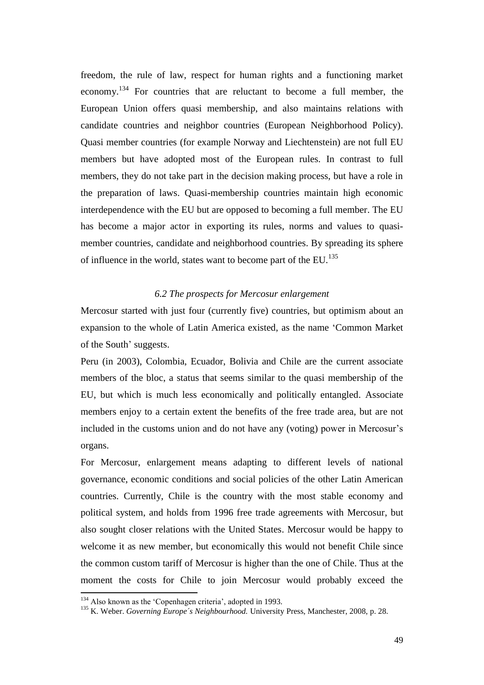freedom, the rule of law, respect for human rights and a functioning market economy.<sup>134</sup> For countries that are reluctant to become a full member, the European Union offers quasi membership, and also maintains relations with candidate countries and neighbor countries (European Neighborhood Policy). Quasi member countries (for example Norway and Liechtenstein) are not full EU members but have adopted most of the European rules. In contrast to full members, they do not take part in the decision making process, but have a role in the preparation of laws. Quasi-membership countries maintain high economic interdependence with the EU but are opposed to becoming a full member. The EU has become a major actor in exporting its rules, norms and values to quasimember countries, candidate and neighborhood countries. By spreading its sphere of influence in the world, states want to become part of the EU.<sup>135</sup>

#### *6.2 The prospects for Mercosur enlargement*

Mercosur started with just four (currently five) countries, but optimism about an expansion to the whole of Latin America existed, as the name 'Common Market of the South' suggests.

Peru (in 2003), Colombia, Ecuador, Bolivia and Chile are the current associate members of the bloc, a status that seems similar to the quasi membership of the EU, but which is much less economically and politically entangled. Associate members enjoy to a certain extent the benefits of the free trade area, but are not included in the customs union and do not have any (voting) power in Mercosur's organs.

For Mercosur, enlargement means adapting to different levels of national governance, economic conditions and social policies of the other Latin American countries. Currently, Chile is the country with the most stable economy and political system, and holds from 1996 free trade agreements with Mercosur, but also sought closer relations with the United States. Mercosur would be happy to welcome it as new member, but economically this would not benefit Chile since the common custom tariff of Mercosur is higher than the one of Chile. Thus at the moment the costs for Chile to join Mercosur would probably exceed the

<sup>&</sup>lt;sup>134</sup> Also known as the 'Copenhagen criteria', adopted in 1993.

<sup>&</sup>lt;sup>135</sup> K. Weber. *Governing Europe's Neighbourhood*. University Press, Manchester, 2008, p. 28.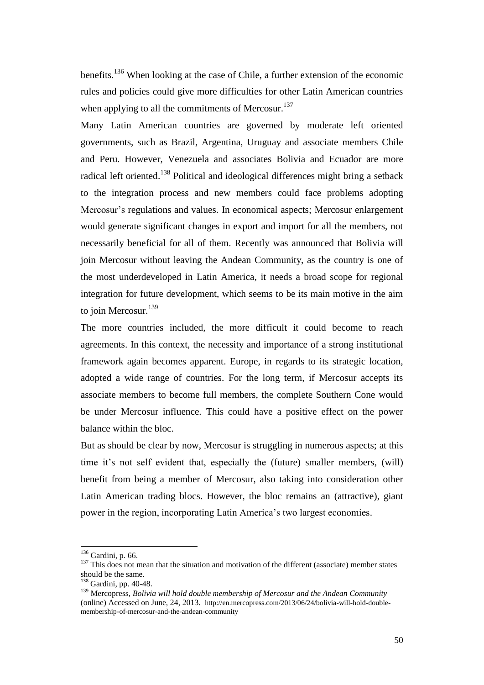benefits.<sup>136</sup> When looking at the case of Chile, a further extension of the economic rules and policies could give more difficulties for other Latin American countries when applying to all the commitments of Mercosur.<sup>137</sup>

Many Latin American countries are governed by moderate left oriented governments, such as Brazil, Argentina, Uruguay and associate members Chile and Peru. However, Venezuela and associates Bolivia and Ecuador are more radical left oriented.<sup>138</sup> Political and ideological differences might bring a setback to the integration process and new members could face problems adopting Mercosur's regulations and values. In economical aspects; Mercosur enlargement would generate significant changes in export and import for all the members, not necessarily beneficial for all of them. Recently was announced that Bolivia will join Mercosur without leaving the Andean Community, as the country is one of the most underdeveloped in Latin America, it needs a broad scope for regional integration for future development, which seems to be its main motive in the aim to join Mercosur.<sup>139</sup>

The more countries included, the more difficult it could become to reach agreements. In this context, the necessity and importance of a strong institutional framework again becomes apparent. Europe, in regards to its strategic location, adopted a wide range of countries. For the long term, if Mercosur accepts its associate members to become full members, the complete Southern Cone would be under Mercosur influence. This could have a positive effect on the power balance within the bloc.

But as should be clear by now, Mercosur is struggling in numerous aspects; at this time it's not self evident that, especially the (future) smaller members, (will) benefit from being a member of Mercosur, also taking into consideration other Latin American trading blocs. However, the bloc remains an (attractive), giant power in the region, incorporating Latin America's two largest economies.

 $136$  Gardini, p. 66.

 $137$  This does not mean that the situation and motivation of the different (associate) member states should be the same.

 $138$  Gardini, pp. 40-48.

<sup>&</sup>lt;sup>139</sup> Mercopress, *Bolivia will hold double membership of Mercosur and the Andean Community* (online) Accessed on June, 24, 2013. [http://en.mercopress.com/2013/06/24/bolivia-will-hold-double](http://en.mercopress.com/2013/06/24/bolivia-will-hold-double-membership-of-mercosur-and-the-andean-community?utm_source=facebook&utm_medium=social&utm_content=main&utm_campaign=facebook)[membership-of-mercosur-and-the-andean-community](http://en.mercopress.com/2013/06/24/bolivia-will-hold-double-membership-of-mercosur-and-the-andean-community?utm_source=facebook&utm_medium=social&utm_content=main&utm_campaign=facebook)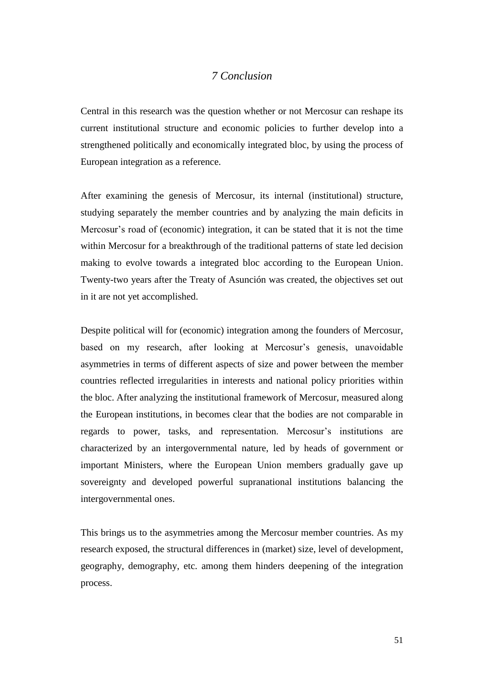### *7 Conclusion*

Central in this research was the question whether or not Mercosur can reshape its current institutional structure and economic policies to further develop into a strengthened politically and economically integrated bloc, by using the process of European integration as a reference.

After examining the genesis of Mercosur, its internal (institutional) structure, studying separately the member countries and by analyzing the main deficits in Mercosur's road of (economic) integration, it can be stated that it is not the time within Mercosur for a breakthrough of the traditional patterns of state led decision making to evolve towards a integrated bloc according to the European Union. Twenty-two years after the Treaty of Asunción was created, the objectives set out in it are not yet accomplished.

Despite political will for (economic) integration among the founders of Mercosur, based on my research, after looking at Mercosur's genesis, unavoidable asymmetries in terms of different aspects of size and power between the member countries reflected irregularities in interests and national policy priorities within the bloc. After analyzing the institutional framework of Mercosur, measured along the European institutions, in becomes clear that the bodies are not comparable in regards to power, tasks, and representation. Mercosur's institutions are characterized by an intergovernmental nature, led by heads of government or important Ministers, where the European Union members gradually gave up sovereignty and developed powerful supranational institutions balancing the intergovernmental ones.

This brings us to the asymmetries among the Mercosur member countries. As my research exposed, the structural differences in (market) size, level of development, geography, demography, etc. among them hinders deepening of the integration process.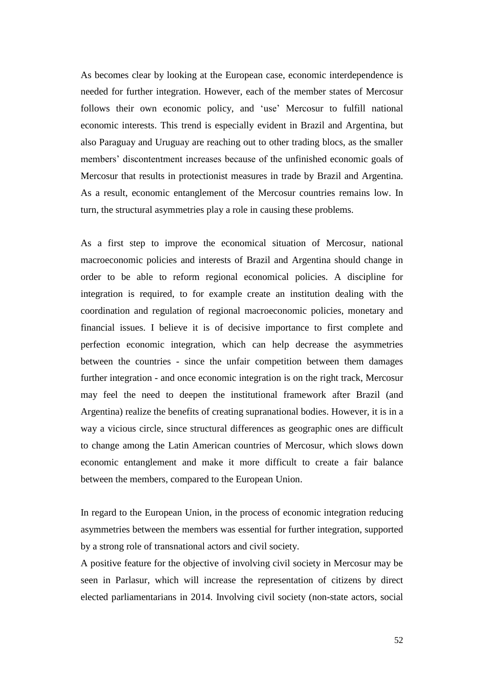As becomes clear by looking at the European case, economic interdependence is needed for further integration. However, each of the member states of Mercosur follows their own economic policy, and 'use' Mercosur to fulfill national economic interests. This trend is especially evident in Brazil and Argentina, but also Paraguay and Uruguay are reaching out to other trading blocs, as the smaller members' discontentment increases because of the unfinished economic goals of Mercosur that results in protectionist measures in trade by Brazil and Argentina. As a result, economic entanglement of the Mercosur countries remains low. In turn, the structural asymmetries play a role in causing these problems.

As a first step to improve the economical situation of Mercosur, national macroeconomic policies and interests of Brazil and Argentina should change in order to be able to reform regional economical policies. A discipline for integration is required, to for example create an institution dealing with the coordination and regulation of regional macroeconomic policies, monetary and financial issues. I believe it is of decisive importance to first complete and perfection economic integration, which can help decrease the asymmetries between the countries - since the unfair competition between them damages further integration - and once economic integration is on the right track, Mercosur may feel the need to deepen the institutional framework after Brazil (and Argentina) realize the benefits of creating supranational bodies. However, it is in a way a vicious circle, since structural differences as geographic ones are difficult to change among the Latin American countries of Mercosur, which slows down economic entanglement and make it more difficult to create a fair balance between the members, compared to the European Union.

In regard to the European Union, in the process of economic integration reducing asymmetries between the members was essential for further integration, supported by a strong role of transnational actors and civil society.

A positive feature for the objective of involving civil society in Mercosur may be seen in Parlasur, which will increase the representation of citizens by direct elected parliamentarians in 2014. Involving civil society (non-state actors, social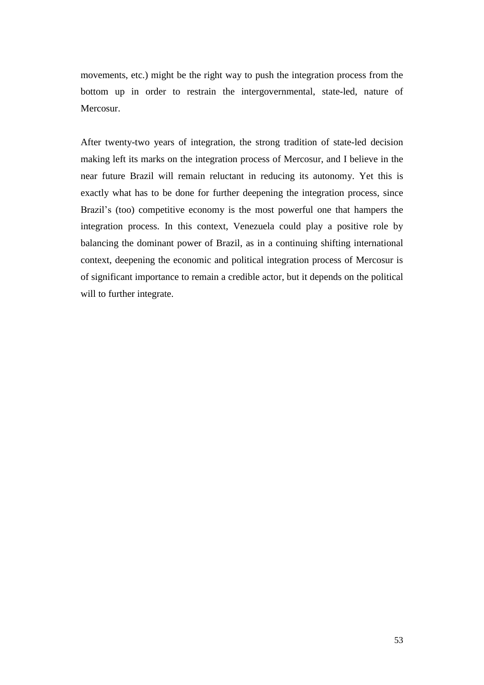movements, etc.) might be the right way to push the integration process from the bottom up in order to restrain the intergovernmental, state-led, nature of Mercosur.

After twenty-two years of integration, the strong tradition of state-led decision making left its marks on the integration process of Mercosur, and I believe in the near future Brazil will remain reluctant in reducing its autonomy. Yet this is exactly what has to be done for further deepening the integration process, since Brazil's (too) competitive economy is the most powerful one that hampers the integration process. In this context, Venezuela could play a positive role by balancing the dominant power of Brazil, as in a continuing shifting international context, deepening the economic and political integration process of Mercosur is of significant importance to remain a credible actor, but it depends on the political will to further integrate.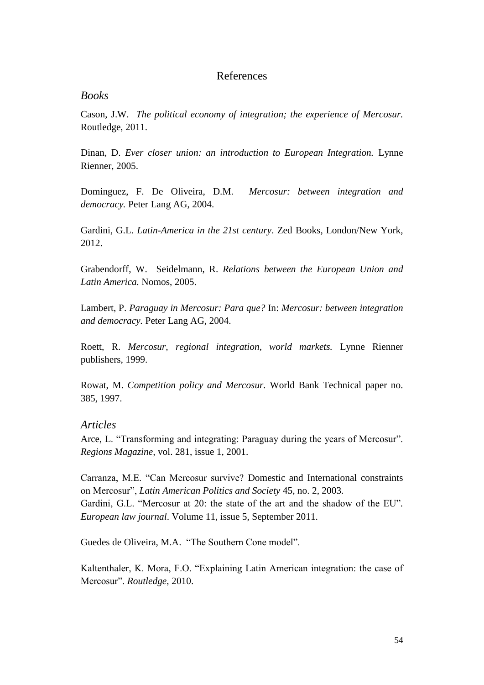#### References

#### *Books*

Cason, J.W. *The political economy of integration; the experience of Mercosur.*  Routledge, 2011.

Dinan, D. *Ever closer union: an introduction to European Integration.* Lynne Rienner, 2005.

Dominguez, F. De Oliveira, D.M. *Mercosur: between integration and democracy.* Peter Lang AG, 2004.

Gardini, G.L. *Latin-America in the 21st century*. Zed Books, London/New York, 2012.

Grabendorff, W. Seidelmann, R. *Relations between the European Union and Latin America.* Nomos, 2005.

Lambert, P. *Paraguay in Mercosur: Para que?* In: *Mercosur: between integration and democracy.* Peter Lang AG, 2004.

Roett, R. *Mercosur, regional integration, world markets.* Lynne Rienner publishers, 1999.

Rowat, M. *Competition policy and Mercosur.* World Bank Technical paper no. 385, 1997.

#### *Articles*

Arce, L. "Transforming and integrating: Paraguay during the years of Mercosur". *Regions Magazine,* vol. 281, issue 1*,* 2001.

Carranza, M.E. "Can Mercosur survive? Domestic and International constraints on Mercosur", *Latin American Politics and Society* 45, no. 2, 2003. Gardini, G.L. "Mercosur at 20: the state of the art and the shadow of the EU"*. European law journal*. Volume 11, issue 5, September 2011.

Guedes de Oliveira, M.A. "The Southern Cone model".

Kaltenthaler, K. Mora, F.O. "Explaining Latin American integration: the case of Mercosur". *Routledge*, 2010.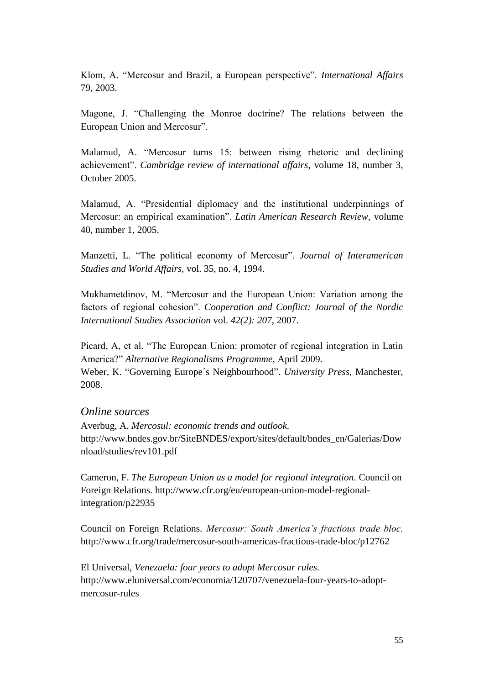Klom, A. "Mercosur and Brazil, a European perspective". *International Affairs*  79, 2003.

Magone, J. "Challenging the Monroe doctrine? The relations between the European Union and Mercosur".

Malamud, A. "Mercosur turns 15: between rising rhetoric and declining achievement". *Cambridge review of international affairs,* volume 18, number 3, October 2005.

Malamud, A. "Presidential diplomacy and the institutional underpinnings of Mercosur: an empirical examination". *Latin American Research Review,* volume 40, number 1, 2005.

Manzetti, L. "The political economy of Mercosur". *Journal of Interamerican Studies and World Affairs,* vol. 35, no. 4, 1994.

Mukhametdinov, M. "Mercosur and the European Union: Variation among the factors of regional cohesion". *Cooperation and Conflict: Journal of the Nordic International Studies Association* vol. *42(2): 207*, 2007.

Picard, A, et al. "The European Union: promoter of regional integration in Latin America?" *Alternative Regionalisms Programme,* April 2009. Weber, K. "Governing Europe´s Neighbourhood". *University Press,* Manchester, 2008.

#### *Online sources*

Averbug, A. *Mercosul: economic trends and outlook.* [http://www.bndes.gov.br/SiteBNDES/export/sites/default/bndes\\_en/Galerias/Dow](http://www.bndes.gov.br/SiteBNDES/export/sites/default/bndes_en/Galerias/Download/studies/rev101.pdf) [nload/studies/rev101.pdf](http://www.bndes.gov.br/SiteBNDES/export/sites/default/bndes_en/Galerias/Download/studies/rev101.pdf)

Cameron, F. *The European Union as a model for regional integration.* Council on Foreign Relations*.* [http://www.cfr.org/eu/european-union-model-regional](http://www.cfr.org/eu/european-union-model-regional-integration/p22935)[integration/p22935](http://www.cfr.org/eu/european-union-model-regional-integration/p22935)

Council on Foreign Relations. *Mercosur: South America's fractious trade bloc.* <http://www.cfr.org/trade/mercosur-south-americas-fractious-trade-bloc/p12762>

El Universal, *Venezuela: four years to adopt Mercosur rules.* [http://www.eluniversal.com/economia/120707/venezuela-four-years-to-adopt](http://www.eluniversal.com/economia/120707/venezuela-four-years-to-adopt-mercosur-rules)[mercosur-rules](http://www.eluniversal.com/economia/120707/venezuela-four-years-to-adopt-mercosur-rules)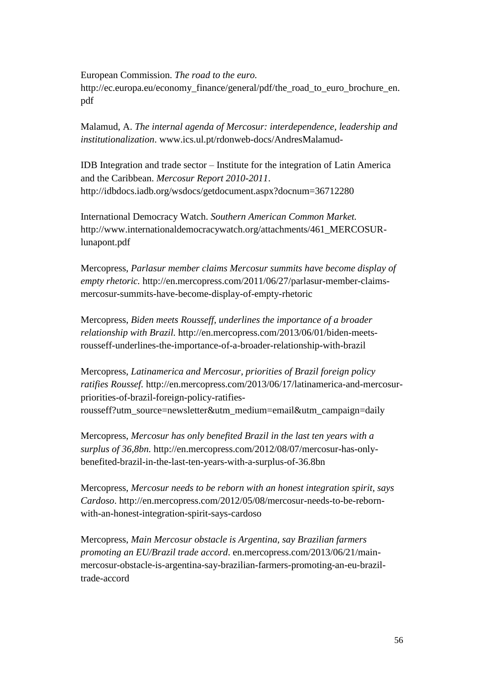European Commission. *The road to the euro.* [http://ec.europa.eu/economy\\_finance/general/pdf/the\\_road\\_to\\_euro\\_brochure\\_en.](http://ec.europa.eu/economy_finance/general/pdf/the_road_to_euro_brochure_en.pdf) [pdf](http://ec.europa.eu/economy_finance/general/pdf/the_road_to_euro_brochure_en.pdf)

Malamud, A. *The internal agenda of Mercosur: interdependence, leadership and institutionalization*. [www.ics.ul.pt/rdonweb-docs/AndresMalamud-](http://www.ics.ul.pt/rdonweb-docs/AndresMalamud-)

IDB Integration and trade sector – Institute for the integration of Latin America and the Caribbean. *Mercosur Report 2010-2011*. <http://idbdocs.iadb.org/wsdocs/getdocument.aspx?docnum=36712280>

International Democracy Watch. *Southern American Common Market.*  [http://www.internationaldemocracywatch.org/attachments/461\\_MERCOSUR](http://www.internationaldemocracywatch.org/attachments/461_MERCOSUR-lunapont.pdf)[lunapont.pdf](http://www.internationaldemocracywatch.org/attachments/461_MERCOSUR-lunapont.pdf)

Mercopress, *Parlasur member claims Mercosur summits have become display of empty rhetoric.* [http://en.mercopress.com/2011/06/27/parlasur-member-claims](http://en.mercopress.com/2011/06/27/parlasur-member-claims-mercosur-summits-have-become-display-of-empty-rhetoric)[mercosur-summits-have-become-display-of-empty-rhetoric](http://en.mercopress.com/2011/06/27/parlasur-member-claims-mercosur-summits-have-become-display-of-empty-rhetoric)

Mercopress, *Biden meets Rousseff, underlines the importance of a broader relationship with Brazil.* [http://en.mercopress.com/2013/06/01/biden-meets](http://en.mercopress.com/2013/06/01/biden-meets-rousseff-underlines-the-importance-of-a-broader-relationship-with-brazil)[rousseff-underlines-the-importance-of-a-broader-relationship-with-brazil](http://en.mercopress.com/2013/06/01/biden-meets-rousseff-underlines-the-importance-of-a-broader-relationship-with-brazil)

Mercopress, *Latinamerica and Mercosur, priorities of Brazil foreign policy ratifies Roussef.* [http://en.mercopress.com/2013/06/17/latinamerica-and-mercosur](http://en.mercopress.com/2013/06/17/latinamerica-and-mercosur-priorities-of-brazil-foreign-policy-ratifies-rousseff?utm_source=newsletter&utm_medium=email&utm_campaign=daily)[priorities-of-brazil-foreign-policy-ratifies](http://en.mercopress.com/2013/06/17/latinamerica-and-mercosur-priorities-of-brazil-foreign-policy-ratifies-rousseff?utm_source=newsletter&utm_medium=email&utm_campaign=daily)[rousseff?utm\\_source=newsletter&utm\\_medium=email&utm\\_campaign=daily](http://en.mercopress.com/2013/06/17/latinamerica-and-mercosur-priorities-of-brazil-foreign-policy-ratifies-rousseff?utm_source=newsletter&utm_medium=email&utm_campaign=daily)

Mercopress, *Mercosur has only benefited Brazil in the last ten years with a surplus of 36,8bn.* [http://en.mercopress.com/2012/08/07/mercosur-has-only](http://en.mercopress.com/2012/08/07/mercosur-has-only-benefited-brazil-in-the-last-ten-years-with-a-surplus-of-36.8bn)[benefited-brazil-in-the-last-ten-years-with-a-surplus-of-36.8bn](http://en.mercopress.com/2012/08/07/mercosur-has-only-benefited-brazil-in-the-last-ten-years-with-a-surplus-of-36.8bn)

Mercopress, *Mercosur needs to be reborn with an honest integration spirit, says Cardoso*. [http://en.mercopress.com/2012/05/08/mercosur-needs-to-be-reborn](http://en.mercopress.com/2012/05/08/mercosur-needs-to-be-reborn-with-an-honest-integration-spirit-says-cardoso)[with-an-honest-integration-spirit-says-cardoso](http://en.mercopress.com/2012/05/08/mercosur-needs-to-be-reborn-with-an-honest-integration-spirit-says-cardoso)

Mercopress, *Main Mercosur obstacle is Argentina, say Brazilian farmers promoting an EU/Brazil trade accord*. en.mercopress.com/2013/06/21/mainmercosur-obstacle-is-argentina-say-brazilian-farmers-promoting-an-eu-braziltrade-accord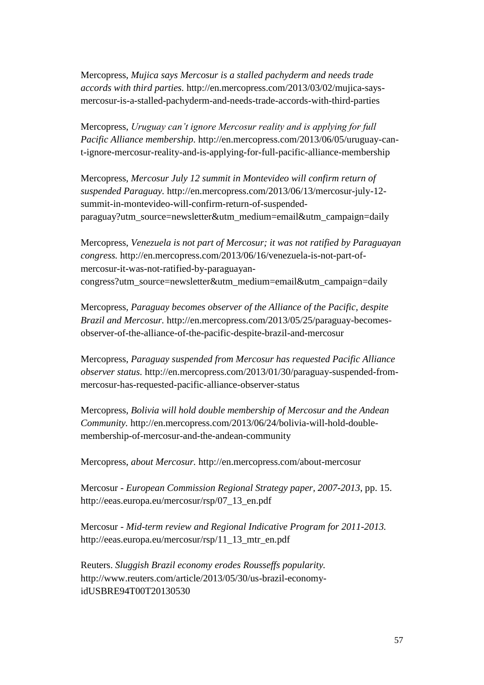Mercopress, *Mujica says Mercosur is a stalled pachyderm and needs trade accords with third parties.* [http://en.mercopress.com/2013/03/02/mujica-says](http://en.mercopress.com/2013/03/02/mujica-says-mercosur-is-a-stalled-pachyderm-and-needs-trade-accords-with-third-parties)[mercosur-is-a-stalled-pachyderm-and-needs-trade-accords-with-third-parties](http://en.mercopress.com/2013/03/02/mujica-says-mercosur-is-a-stalled-pachyderm-and-needs-trade-accords-with-third-parties)

Mercopress, *Uruguay can't ignore Mercosur reality and is applying for full Pacific Alliance membership.* [http://en.mercopress.com/2013/06/05/uruguay-can](http://en.mercopress.com/2013/06/05/uruguay-can-t-ignore-mercosur-reality-and-is-applying-for-full-pacific-alliance-membership)[t-ignore-mercosur-reality-and-is-applying-for-full-pacific-alliance-membership](http://en.mercopress.com/2013/06/05/uruguay-can-t-ignore-mercosur-reality-and-is-applying-for-full-pacific-alliance-membership)

Mercopress, *Mercosur July 12 summit in Montevideo will confirm return of suspended Paraguay.* [http://en.mercopress.com/2013/06/13/mercosur-july-12](http://en.mercopress.com/2013/06/13/mercosur-july-12-summit-in-montevideo-will-confirm-return-of-suspended-paraguay?utm_source=newsletter&utm_medium=email&utm_campaign=daily) [summit-in-montevideo-will-confirm-return-of-suspended](http://en.mercopress.com/2013/06/13/mercosur-july-12-summit-in-montevideo-will-confirm-return-of-suspended-paraguay?utm_source=newsletter&utm_medium=email&utm_campaign=daily)[paraguay?utm\\_source=newsletter&utm\\_medium=email&utm\\_campaign=daily](http://en.mercopress.com/2013/06/13/mercosur-july-12-summit-in-montevideo-will-confirm-return-of-suspended-paraguay?utm_source=newsletter&utm_medium=email&utm_campaign=daily) 

Mercopress, *Venezuela is not part of Mercosur; it was not ratified by Paraguayan congress.* [http://en.mercopress.com/2013/06/16/venezuela-is-not-part-of](http://en.mercopress.com/2013/06/16/venezuela-is-not-part-of-mercosur-it-was-not-ratified-by-paraguayan-congress?utm_source=newsletter&utm_medium=email&utm_campaign=daily)[mercosur-it-was-not-ratified-by-paraguayan](http://en.mercopress.com/2013/06/16/venezuela-is-not-part-of-mercosur-it-was-not-ratified-by-paraguayan-congress?utm_source=newsletter&utm_medium=email&utm_campaign=daily)[congress?utm\\_source=newsletter&utm\\_medium=email&utm\\_campaign=daily](http://en.mercopress.com/2013/06/16/venezuela-is-not-part-of-mercosur-it-was-not-ratified-by-paraguayan-congress?utm_source=newsletter&utm_medium=email&utm_campaign=daily)

Mercopress, *Paraguay becomes observer of the Alliance of the Pacific, despite Brazil and Mercosur.* [http://en.mercopress.com/2013/05/25/paraguay-becomes](http://en.mercopress.com/2013/05/25/paraguay-becomes-observer-of-the-alliance-of-the-pacific-despite-brazil-and-mercosur)[observer-of-the-alliance-of-the-pacific-despite-brazil-and-mercosur](http://en.mercopress.com/2013/05/25/paraguay-becomes-observer-of-the-alliance-of-the-pacific-despite-brazil-and-mercosur)

Mercopress, *Paraguay suspended from Mercosur has requested Pacific Alliance observer status.* [http://en.mercopress.com/2013/01/30/paraguay-suspended-from](http://en.mercopress.com/2013/01/30/paraguay-suspended-from-mercosur-has-requested-pacific-alliance-observer-status)[mercosur-has-requested-pacific-alliance-observer-status](http://en.mercopress.com/2013/01/30/paraguay-suspended-from-mercosur-has-requested-pacific-alliance-observer-status)

Mercopress, *Bolivia will hold double membership of Mercosur and the Andean Community.* [http://en.mercopress.com/2013/06/24/bolivia-will-hold-double](http://en.mercopress.com/2013/06/24/bolivia-will-hold-double-membership-of-mercosur-and-the-andean-community?utm_source=facebook&utm_medium=social&utm_content=main&utm_campaign=facebook)[membership-of-mercosur-and-the-andean-community](http://en.mercopress.com/2013/06/24/bolivia-will-hold-double-membership-of-mercosur-and-the-andean-community?utm_source=facebook&utm_medium=social&utm_content=main&utm_campaign=facebook)

Mercopress, *about Mercosur.* <http://en.mercopress.com/about-mercosur>

Mercosur - *European Commission Regional Strategy paper, 2007-2013*, pp. 15. [http://eeas.europa.eu/mercosur/rsp/07\\_13\\_en.pdf](http://eeas.europa.eu/mercosur/rsp/07_13_en.pdf)

Mercosur - *Mid-term review and Regional Indicative Program for 2011-2013.*  [http://eeas.europa.eu/mercosur/rsp/11\\_13\\_mtr\\_en.pdf](http://eeas.europa.eu/mercosur/rsp/11_13_mtr_en.pdf)

Reuters. *Sluggish Brazil economy erodes Rousseffs popularity.* [http://www.reuters.com/article/2013/05/30/us-brazil-economy](http://www.reuters.com/article/2013/05/30/us-brazil-economy-idUSBRE94T00T20130530)[idUSBRE94T00T20130530](http://www.reuters.com/article/2013/05/30/us-brazil-economy-idUSBRE94T00T20130530)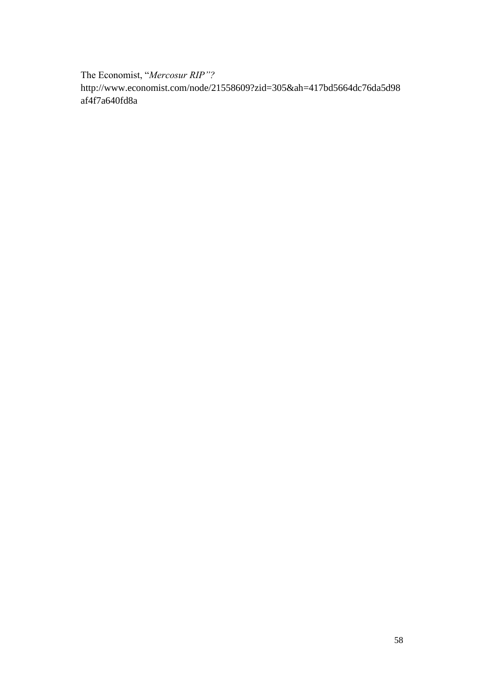The Economist, "*Mercosur RIP"?*  [http://www.economist.com/node/21558609?zid=305&ah=417bd5664dc76da5d98](http://www.economist.com/node/21558609?zid=305&ah=417bd5664dc76da5d98af4f7a640fd8a) [af4f7a640fd8a](http://www.economist.com/node/21558609?zid=305&ah=417bd5664dc76da5d98af4f7a640fd8a)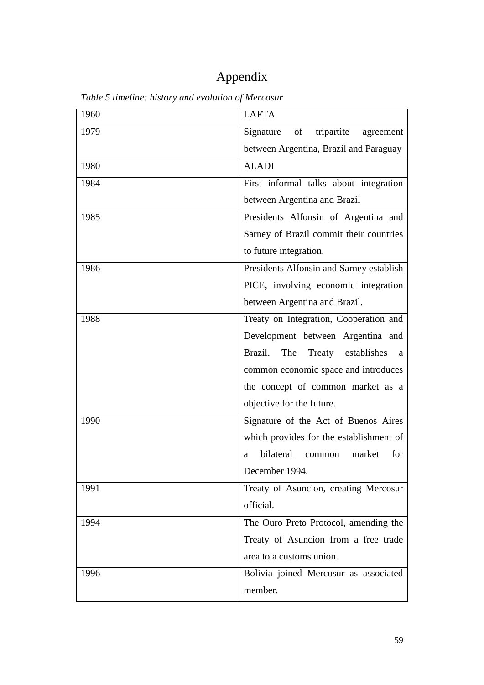# Appendix

| Table 5 timeline: history and evolution of Mercosur |  |  |
|-----------------------------------------------------|--|--|
|                                                     |  |  |

| 1960 | <b>LAFTA</b>                                 |  |  |  |  |
|------|----------------------------------------------|--|--|--|--|
| 1979 | of<br>tripartite<br>Signature<br>agreement   |  |  |  |  |
|      | between Argentina, Brazil and Paraguay       |  |  |  |  |
| 1980 | <b>ALADI</b>                                 |  |  |  |  |
| 1984 | First informal talks about integration       |  |  |  |  |
|      | between Argentina and Brazil                 |  |  |  |  |
| 1985 | Presidents Alfonsin of Argentina and         |  |  |  |  |
|      | Sarney of Brazil commit their countries      |  |  |  |  |
|      | to future integration.                       |  |  |  |  |
| 1986 | Presidents Alfonsin and Sarney establish     |  |  |  |  |
|      | PICE, involving economic integration         |  |  |  |  |
|      | between Argentina and Brazil.                |  |  |  |  |
| 1988 | Treaty on Integration, Cooperation and       |  |  |  |  |
|      | Development between Argentina and            |  |  |  |  |
|      | Brazil.<br>The<br>Treaty<br>establishes<br>a |  |  |  |  |
|      | common economic space and introduces         |  |  |  |  |
|      | the concept of common market as a            |  |  |  |  |
|      | objective for the future.                    |  |  |  |  |
| 1990 | Signature of the Act of Buenos Aires         |  |  |  |  |
|      | which provides for the establishment of      |  |  |  |  |
|      | bilateral common<br>market<br>for<br>a       |  |  |  |  |
|      | December 1994.                               |  |  |  |  |
| 1991 | Treaty of Asuncion, creating Mercosur        |  |  |  |  |
|      | official.                                    |  |  |  |  |
| 1994 | The Ouro Preto Protocol, amending the        |  |  |  |  |
|      | Treaty of Asuncion from a free trade         |  |  |  |  |
|      | area to a customs union.                     |  |  |  |  |
| 1996 | Bolivia joined Mercosur as associated        |  |  |  |  |
|      | member.                                      |  |  |  |  |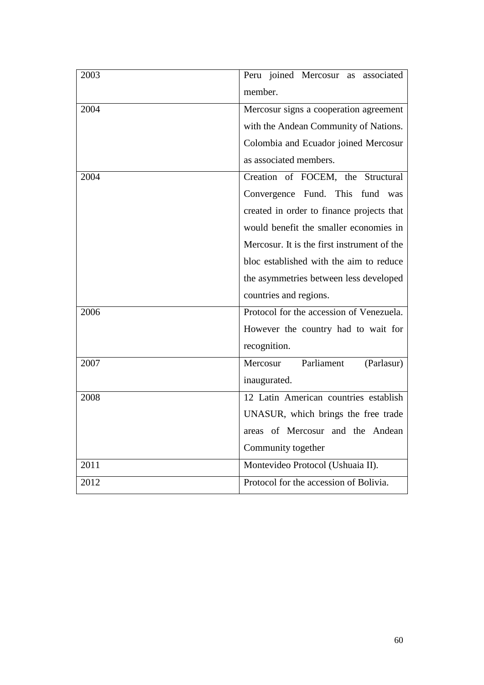| 2003 | Peru joined Mercosur as associated          |  |  |  |  |  |
|------|---------------------------------------------|--|--|--|--|--|
|      | member.                                     |  |  |  |  |  |
| 2004 | Mercosur signs a cooperation agreement      |  |  |  |  |  |
|      | with the Andean Community of Nations.       |  |  |  |  |  |
|      | Colombia and Ecuador joined Mercosur        |  |  |  |  |  |
|      | as associated members.                      |  |  |  |  |  |
| 2004 | Creation of FOCEM, the Structural           |  |  |  |  |  |
|      | Convergence Fund. This fund was             |  |  |  |  |  |
|      | created in order to finance projects that   |  |  |  |  |  |
|      | would benefit the smaller economies in      |  |  |  |  |  |
|      | Mercosur. It is the first instrument of the |  |  |  |  |  |
|      | bloc established with the aim to reduce     |  |  |  |  |  |
|      | the asymmetries between less developed      |  |  |  |  |  |
|      | countries and regions.                      |  |  |  |  |  |
| 2006 | Protocol for the accession of Venezuela.    |  |  |  |  |  |
|      | However the country had to wait for         |  |  |  |  |  |
|      | recognition.                                |  |  |  |  |  |
| 2007 | Parliament<br>Mercosur<br>(Parlasur)        |  |  |  |  |  |
|      | inaugurated.                                |  |  |  |  |  |
| 2008 | 12 Latin American countries establish       |  |  |  |  |  |
|      | UNASUR, which brings the free trade         |  |  |  |  |  |
|      | areas of Mercosur and the Andean            |  |  |  |  |  |
|      | Community together                          |  |  |  |  |  |
| 2011 | Montevideo Protocol (Ushuaia II).           |  |  |  |  |  |
| 2012 | Protocol for the accession of Bolivia.      |  |  |  |  |  |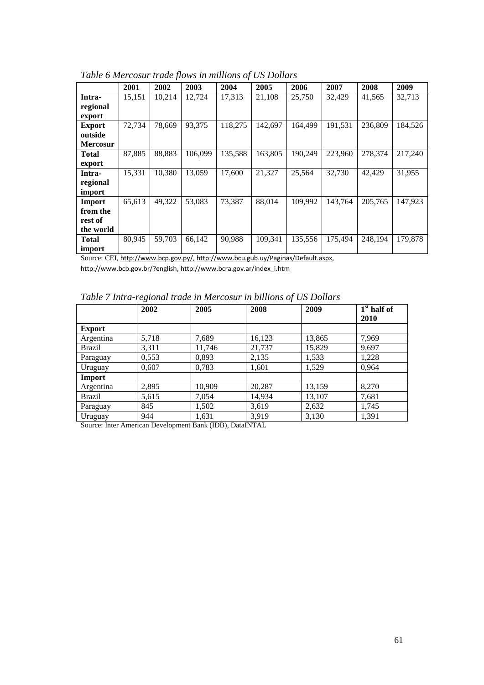*Table 6 Mercosur trade flows in millions of US Dollars*

|               | 2001     | 2002   | 2003           | 2004    | 2005          | 2006    | 2007    | 2008    | 2009    |
|---------------|----------|--------|----------------|---------|---------------|---------|---------|---------|---------|
| Intra-        | 15,151   | 10,214 | 12,724         | 17,313  | 21,108        | 25,750  | 32,429  | 41,565  | 32,713  |
| regional      |          |        |                |         |               |         |         |         |         |
| export        |          |        |                |         |               |         |         |         |         |
| <b>Export</b> | 72,734   | 78,669 | 93,375         | 118,275 | 142,697       | 164,499 | 191,531 | 236,809 | 184,526 |
| outside       |          |        |                |         |               |         |         |         |         |
| Mercosur      |          |        |                |         |               |         |         |         |         |
| <b>Total</b>  | 87,885   | 88,883 | 106,099        | 135,588 | 163,805       | 190,249 | 223,960 | 278,374 | 217,240 |
| export        |          |        |                |         |               |         |         |         |         |
| Intra-        | 15,331   | 10,380 | 13,059         | 17,600  | 21,327        | 25,564  | 32,730  | 42,429  | 31,955  |
| regional      |          |        |                |         |               |         |         |         |         |
| import        |          |        |                |         |               |         |         |         |         |
| Import        | 65,613   | 49,322 | 53,083         | 73,387  | 88,014        | 109,992 | 143,764 | 205,765 | 147,923 |
| from the      |          |        |                |         |               |         |         |         |         |
| rest of       |          |        |                |         |               |         |         |         |         |
| the world     |          |        |                |         |               |         |         |         |         |
| <b>Total</b>  | 80.945   | 59,703 | 66,142         | 90,988  | 109.341       | 135,556 | 175.494 | 248.194 | 179,878 |
| import        | $\cdots$ |        | $\overline{ }$ |         | $\sim$ $\sim$ |         |         |         |         |

Source: CEI, [http://www.bcp.gov.py/,](http://www.bcp.gov.py/) [http://www.bcu.gub.uy/Paginas/Default.aspx,](http://www.bcu.gub.uy/Paginas/Default.aspx)

[http://www.bcb.gov.br/?english,](http://www.bcb.gov.br/?english) [http://www.bcra.gov.ar/index\\_i.htm](http://www.bcra.gov.ar/index_i.htm)

#### *Table 7 Intra-regional trade in Mercosur in billions of US Dollars*

|               | 2002  | 2005   | 2008   | 2009   | $\overline{1}^{\text{st}}$ half of |
|---------------|-------|--------|--------|--------|------------------------------------|
|               |       |        |        |        | 2010                               |
| <b>Export</b> |       |        |        |        |                                    |
| Argentina     | 5,718 | 7,689  | 16,123 | 13,865 | 7,969                              |
| Brazil        | 3,311 | 11,746 | 21,737 | 15,829 | 9,697                              |
| Paraguay      | 0,553 | 0,893  | 2,135  | 1,533  | 1,228                              |
| Uruguay       | 0,607 | 0,783  | 1,601  | 1,529  | 0,964                              |
| Import        |       |        |        |        |                                    |
| Argentina     | 2,895 | 10,909 | 20,287 | 13,159 | 8,270                              |
| Brazil        | 5,615 | 7,054  | 14,934 | 13,107 | 7,681                              |
| Paraguay      | 845   | 1,502  | 3,619  | 2,632  | 1,745                              |
| Uruguay       | 944   | 1,631  | 3,919  | 3,130  | 1,391                              |

Source: Inter American Development Bank (IDB), DataINTAL